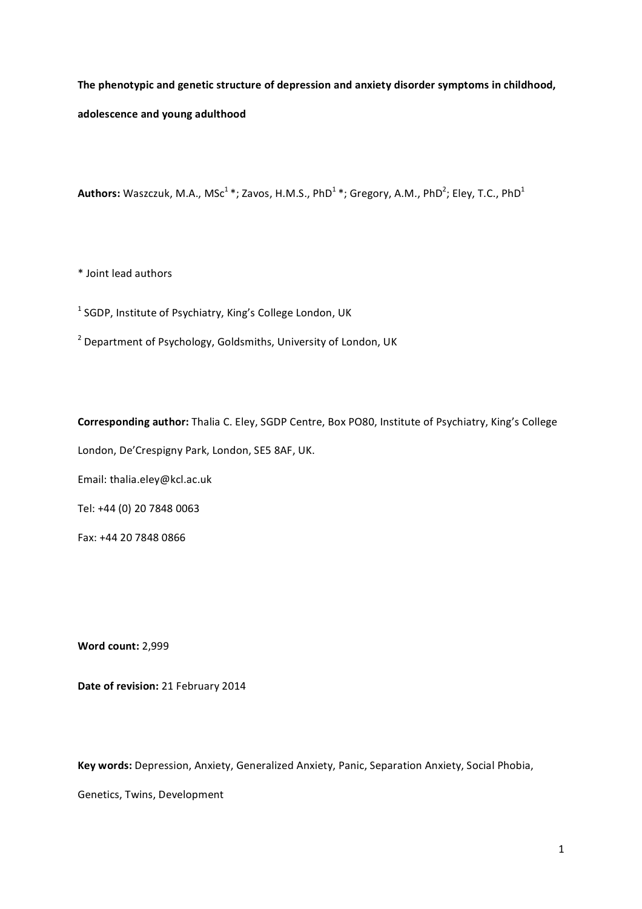The phenotypic and genetic structure of depression and anxiety disorder symptoms in childhood, adolescence and young adulthood

**Authors:** Waszczuk, M.A., MSc<sup>1</sup> \*; Zavos, H.M.S., PhD<sup>1</sup> \*; Gregory, A.M., PhD<sup>2</sup>; Eley, T.C., PhD<sup>1</sup>

\* Joint lead authors

 $^1$  SGDP, Institute of Psychiatry, King's College London, UK

 $2$  Department of Psychology, Goldsmiths, University of London, UK

Corresponding author: Thalia C. Eley, SGDP Centre, Box PO80, Institute of Psychiatry, King's College London, De'Crespigny Park, London, SE5 8AF, UK. Email: thalia.eley@kcl.ac.uk

Tel: +44 (0) 20 7848 0063

Fax: +44 20 7848 0866

**Word\$count:\$**2,999

Date of revision: 21 February 2014

Key words: Depression, Anxiety, Generalized Anxiety, Panic, Separation Anxiety, Social Phobia,

Genetics, Twins, Development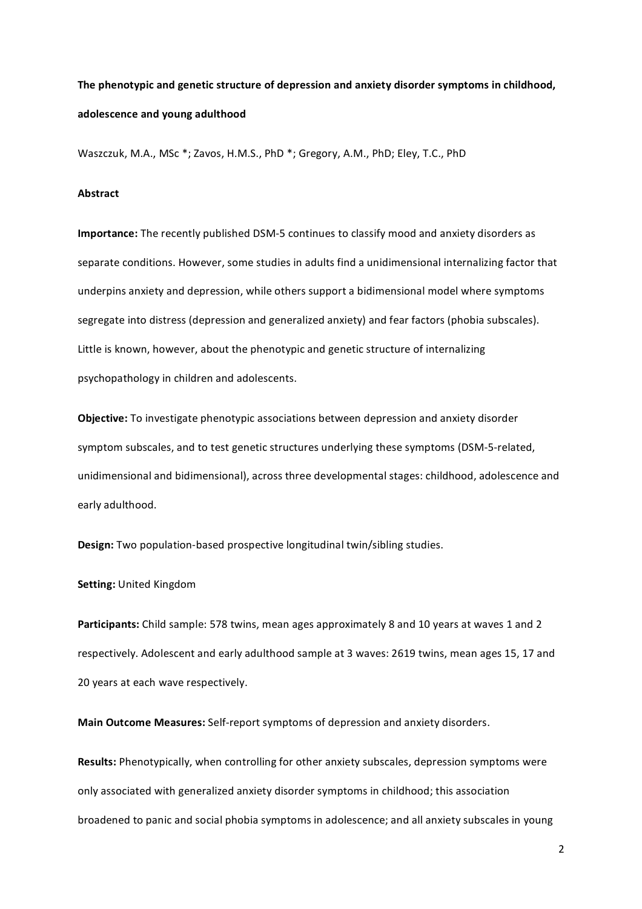# The phenotypic and genetic structure of depression and anxiety disorder symptoms in childhood, adolescence and young adulthood

Waszczuk, M.A., MSc \*; Zavos, H.M.S., PhD \*; Gregory, A.M., PhD; Eley, T.C., PhD

## **Abstract\$**

**Importance:** The recently published DSM-5 continues to classify mood and anxiety disorders as separate conditions. However, some studies in adults find a unidimensional internalizing factor that underpins anxiety and depression, while others support a bidimensional model where symptoms segregate into distress (depression and generalized anxiety) and fear factors (phobia subscales). Little is known, however, about the phenotypic and genetic structure of internalizing psychopathology in children and adolescents.

**Objective:** To investigate phenotypic associations between depression and anxiety disorder symptom subscales, and to test genetic structures underlying these symptoms (DSM-5-related, unidimensional and bidimensional), across three developmental stages: childhood, adolescence and early adulthood.

**Design:** Two population-based prospective longitudinal twin/sibling studies.

**Setting: United Kingdom** 

Participants: Child sample: 578 twins, mean ages approximately 8 and 10 years at waves 1 and 2 respectively. Adolescent and early adulthood sample at 3 waves: 2619 twins, mean ages 15, 17 and 20 years at each wave respectively.

**Main Outcome Measures:** Self-report symptoms of depression and anxiety disorders.

Results: Phenotypically, when controlling for other anxiety subscales, depression symptoms were only associated with generalized anxiety disorder symptoms in childhood; this association broadened to panic and social phobia symptoms in adolescence; and all anxiety subscales in young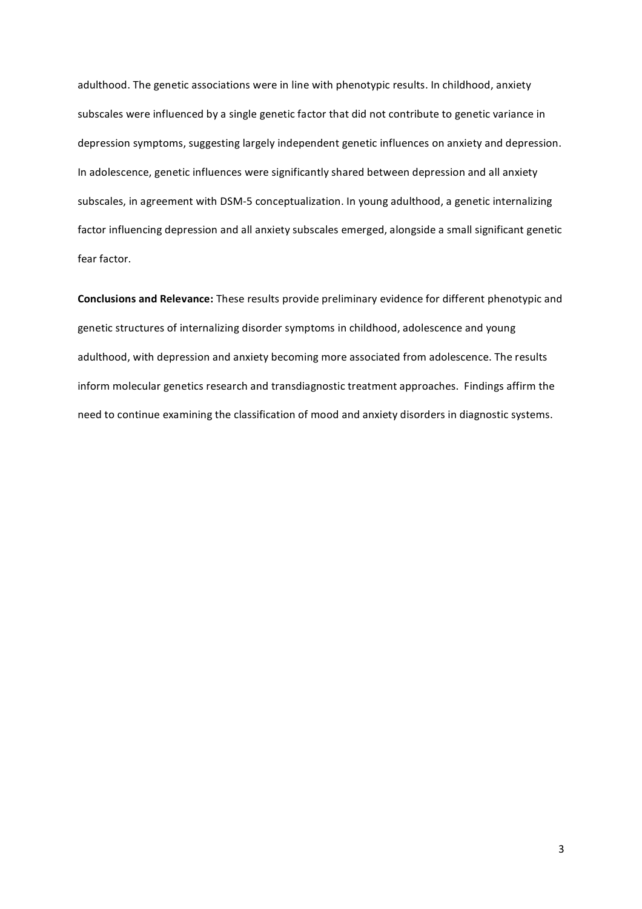adulthood. The genetic associations were in line with phenotypic results. In childhood, anxiety subscales were influenced by a single genetic factor that did not contribute to genetic variance in depression symptoms, suggesting largely independent genetic influences on anxiety and depression. In adolescence, genetic influences were significantly shared between depression and all anxiety subscales, in agreement with DSM-5 conceptualization. In young adulthood, a genetic internalizing factor influencing depression and all anxiety subscales emerged, alongside a small significant genetic fear factor.

Conclusions and Relevance: These results provide preliminary evidence for different phenotypic and genetic structures of internalizing disorder symptoms in childhood, adolescence and young adulthood, with depression and anxiety becoming more associated from adolescence. The results inform molecular genetics research and transdiagnostic treatment approaches. Findings affirm the need to continue examining the classification of mood and anxiety disorders in diagnostic systems.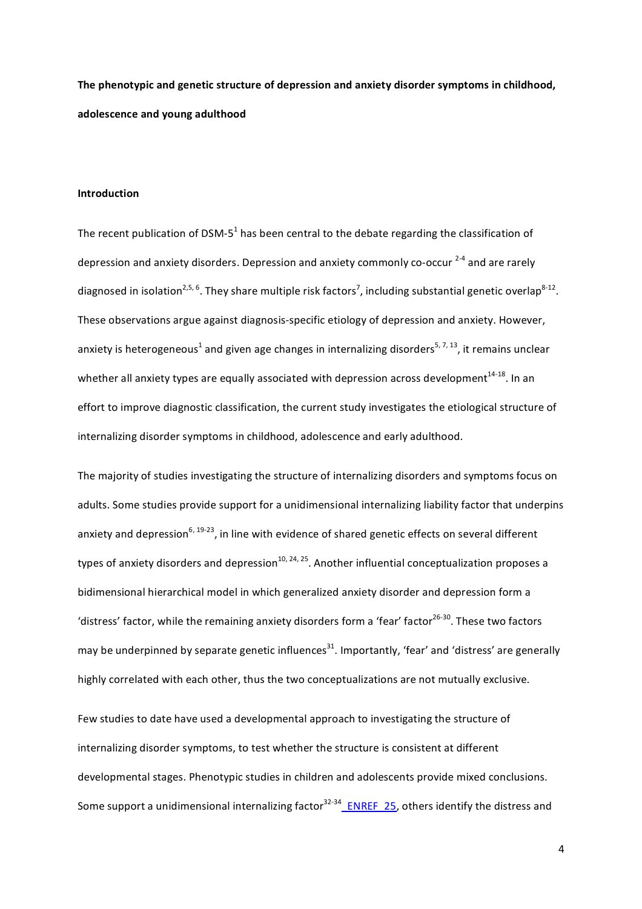The phenotypic and genetic structure of depression and anxiety disorder symptoms in childhood, adolescence and young adulthood

## **Introduction**

The recent publication of DSM-5<sup>1</sup> has been central to the debate regarding the classification of depression and anxiety disorders. Depression and anxiety commonly co-occur <sup>2-4</sup> and are rarely diagnosed in isolation<sup>2,5, 6</sup>. They share multiple risk factors<sup>7</sup>, including substantial genetic overlap<sup>8-12</sup>. These observations argue against diagnosis-specific etiology of depression and anxiety. However, anxiety is heterogeneous<sup>1</sup> and given age changes in internalizing disorders<sup>5, 7, 13</sup>, it remains unclear whether all anxiety types are equally associated with depression across development<sup>14-18</sup>. In an effort to improve diagnostic classification, the current study investigates the etiological structure of internalizing disorder symptoms in childhood, adolescence and early adulthood.

The majority of studies investigating the structure of internalizing disorders and symptoms focus on adults. Some studies provide support for a unidimensional internalizing liability factor that underpins anxiety and depression<sup>6, 19-23</sup>, in line with evidence of shared genetic effects on several different types of anxiety disorders and depression $10, 24, 25$ . Another influential conceptualization proposes a bidimensional hierarchical model in which generalized anxiety disorder and depression form a 'distress' factor, while the remaining anxiety disorders form a 'fear' factor<sup>26-30</sup>. These two factors may be underpinned by separate genetic influences<sup>31</sup>. Importantly, 'fear' and 'distress' are generally highly correlated with each other, thus the two conceptualizations are not mutually exclusive.

Few studies to date have used a developmental approach to investigating the structure of internalizing disorder symptoms, to test whether the structure is consistent at different developmental stages. Phenotypic studies in children and adolescents provide mixed conclusions. Some support a unidimensional internalizing factor<sup>32-34</sup> ENREF 25, others identify the distress and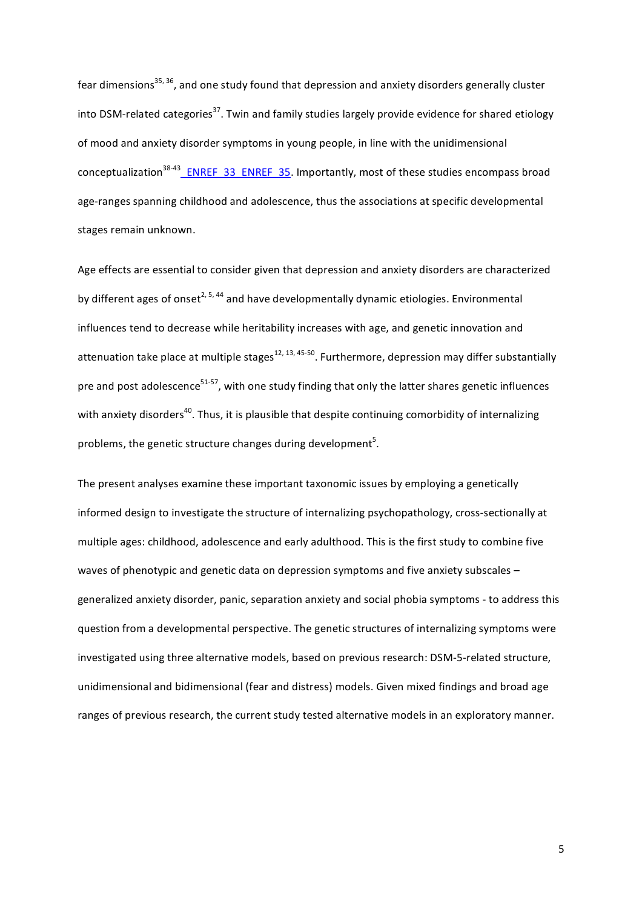fear dimensions<sup>35, 36</sup>, and one study found that depression and anxiety disorders generally cluster into DSM-related categories<sup>37</sup>. Twin and family studies largely provide evidence for shared etiology of mood and anxiety disorder symptoms in young people, in line with the unidimensional conceptualization<sup>38-43</sup> ENREF\_33\_ENREF\_35. Importantly, most of these studies encompass broad age-ranges spanning childhood and adolescence, thus the associations at specific developmental stages remain unknown.

Age effects are essential to consider given that depression and anxiety disorders are characterized by different ages of onset<sup>2, 5, 44</sup> and have developmentally dynamic etiologies. Environmental influences tend to decrease while heritability increases with age, and genetic innovation and attenuation take place at multiple stages<sup>12, 13, 45-50</sup>. Furthermore, depression may differ substantially pre and post adolescence<sup>51-57</sup>, with one study finding that only the latter shares genetic influences with anxiety disorders<sup>40</sup>. Thus, it is plausible that despite continuing comorbidity of internalizing problems, the genetic structure changes during development $^5$ .

The present analyses examine these important taxonomic issues by employing a genetically informed design to investigate the structure of internalizing psychopathology, cross-sectionally at multiple ages: childhood, adolescence and early adulthood. This is the first study to combine five waves of phenotypic and genetic data on depression symptoms and five anxiety subscales – generalized anxiety disorder, panic, separation anxiety and social phobia symptoms - to address this question from a developmental perspective. The genetic structures of internalizing symptoms were investigated using three alternative models, based on previous research: DSM-5-related structure, unidimensional and bidimensional (fear and distress) models. Given mixed findings and broad age ranges of previous research, the current study tested alternative models in an exploratory manner.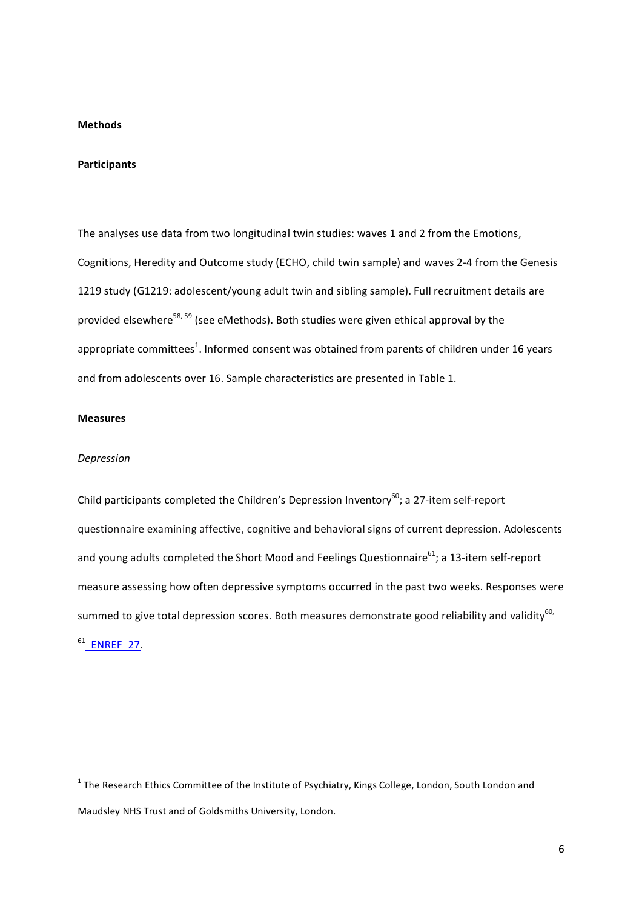## **Methods**

#### **Participants**

The analyses use data from two longitudinal twin studies: waves 1 and 2 from the Emotions, Cognitions, Heredity and Outcome study (ECHO, child twin sample) and waves 2-4 from the Genesis 1219 study (G1219: adolescent/young adult twin and sibling sample). Full recruitment details are provided elsewhere<sup>58, 59</sup> (see eMethods). Both studies were given ethical approval by the appropriate committees<sup>1</sup>. Informed consent was obtained from parents of children under 16 years and from adolescents over 16. Sample characteristics are presented in Table 1.

## **Measures**

#### *Depression*

Child participants completed the Children's Depression Inventory<sup>60</sup>; a 27-item self-report questionnaire examining affective, cognitive and behavioral signs of current depression. Adolescents and young adults completed the Short Mood and Feelings Questionnaire<sup>61</sup>; a 13-item self-report measure assessing how often depressive symptoms occurred in the past two weeks. Responses were summed to give total depression scores. Both measures demonstrate good reliability and validity<sup>60,</sup>  $61$  ENREF 27.

ware mannled and the manned wetthrourd wetthrourd the transmitter of the Research Ethics Committee of the Institute of Psychiatry, Kings College, London, South London and the The Research Ethics Committee of the Institute Maudsley NHS Trust and of Goldsmiths University, London.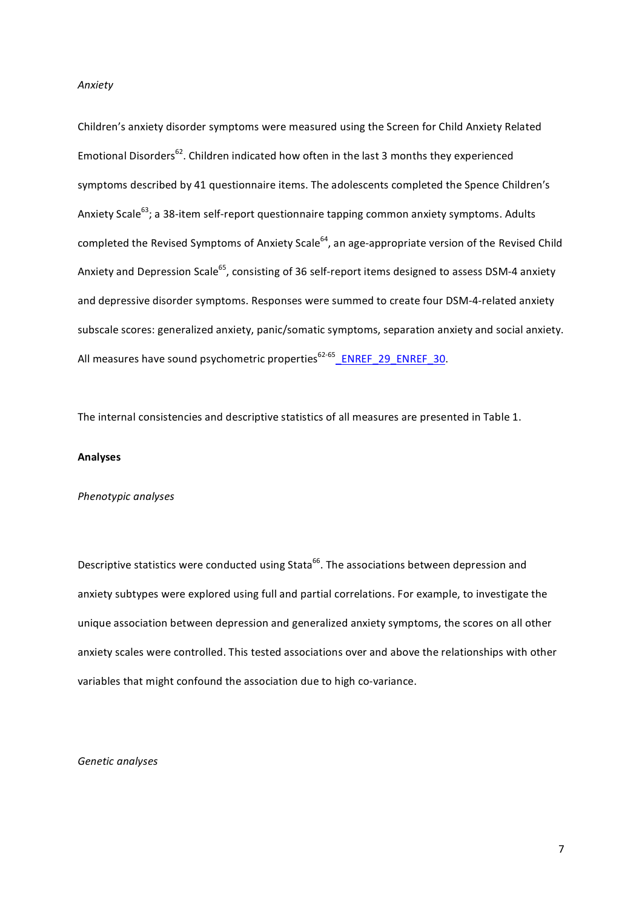#### *Anxiety*

Children's anxiety disorder symptoms were measured using the Screen for Child Anxiety Related Emotional Disorders<sup>62</sup>. Children indicated how often in the last 3 months they experienced symptoms described by 41 questionnaire items. The adolescents completed the Spence Children's Anxiety Scale<sup>63</sup>; a 38-item self-report questionnaire tapping common anxiety symptoms. Adults completed the Revised Symptoms of Anxiety Scale<sup>64</sup>, an age-appropriate version of the Revised Child Anxiety and Depression Scale<sup>65</sup>, consisting of 36 self-report items designed to assess DSM-4 anxiety and depressive disorder symptoms. Responses were summed to create four DSM-4-related anxiety subscale scores: generalized anxiety, panic/somatic symptoms, separation anxiety and social anxiety. All measures have sound psychometric properties<sup>62-65</sup>\_ENREF\_29\_ENREF\_30.

The internal consistencies and descriptive statistics of all measures are presented in Table 1.

#### **Analyses**

## *Phenotypic)analyses*

Descriptive statistics were conducted using Stata<sup>66</sup>. The associations between depression and anxiety subtypes were explored using full and partial correlations. For example, to investigate the unique association between depression and generalized anxiety symptoms, the scores on all other anxiety scales were controlled. This tested associations over and above the relationships with other variables that might confound the association due to high co-variance.

## *Genetic)analyses*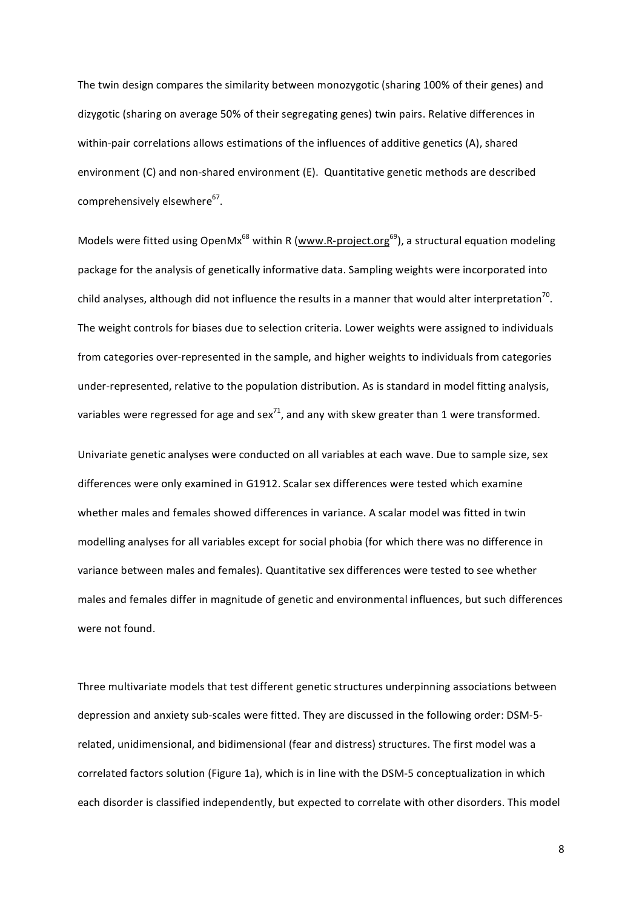The twin design compares the similarity between monozygotic (sharing 100% of their genes) and dizygotic (sharing on average 50% of their segregating genes) twin pairs. Relative differences in within-pair correlations allows estimations of the influences of additive genetics (A), shared environment (C) and non-shared environment (E). Quantitative genetic methods are described comprehensively elsewhere<sup>67</sup>.

Models were fitted using OpenMx<sup>68</sup> within R (www.R-project.org<sup>69</sup>), a structural equation modeling package for the analysis of genetically informative data. Sampling weights were incorporated into child analyses, although did not influence the results in a manner that would alter interpretation<sup>70</sup>. The weight controls for biases due to selection criteria. Lower weights were assigned to individuals from categories over-represented in the sample, and higher weights to individuals from categories under-represented, relative to the population distribution. As is standard in model fitting analysis, variables were regressed for age and sex<sup>71</sup>, and any with skew greater than 1 were transformed.

Univariate genetic analyses were conducted on all variables at each wave. Due to sample size, sex differences were only examined in G1912. Scalar sex differences were tested which examine whether males and females showed differences in variance. A scalar model was fitted in twin modelling analyses for all variables except for social phobia (for which there was no difference in variance between males and females). Quantitative sex differences were tested to see whether males and females differ in magnitude of genetic and environmental influences, but such differences were not found.

Three multivariate models that test different genetic structures underpinning associations between depression and anxiety sub-scales were fitted. They are discussed in the following order: DSM-5related, unidimensional, and bidimensional (fear and distress) structures. The first model was a correlated factors solution (Figure 1a), which is in line with the DSM-5 conceptualization in which each disorder is classified independently, but expected to correlate with other disorders. This model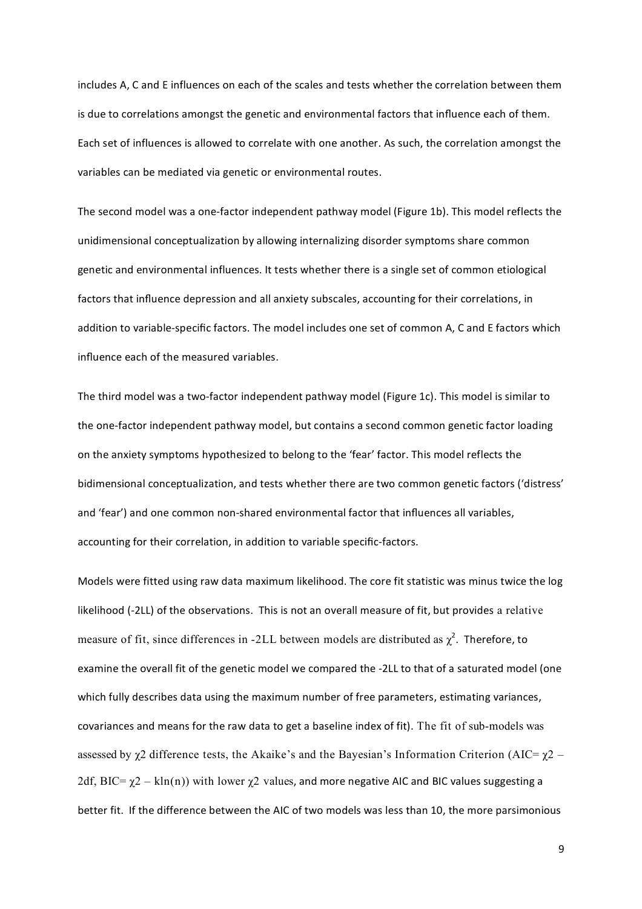includes A, C and E influences on each of the scales and tests whether the correlation between them is due to correlations amongst the genetic and environmental factors that influence each of them. Each set of influences is allowed to correlate with one another. As such, the correlation amongst the variables can be mediated via genetic or environmental routes.

The second model was a one-factor independent pathway model (Figure 1b). This model reflects the unidimensional conceptualization by allowing internalizing disorder symptoms share common genetic and environmental influences. It tests whether there is a single set of common etiological factors that influence depression and all anxiety subscales, accounting for their correlations, in addition to variable-specific factors. The model includes one set of common A, C and E factors which influence each of the measured variables.

The third model was a two-factor independent pathway model (Figure 1c). This model is similar to the one-factor independent pathway model, but contains a second common genetic factor loading on the anxiety symptoms hypothesized to belong to the 'fear' factor. This model reflects the bidimensional conceptualization, and tests whether there are two common genetic factors ('distress' and 'fear') and one common non-shared environmental factor that influences all variables, accounting for their correlation, in addition to variable specific-factors.

Models were fitted using raw data maximum likelihood. The core fit statistic was minus twice the log likelihood (-2LL) of the observations. This is not an overall measure of fit, but provides a relative measure of fit, since differences in -2LL between models are distributed as  $\chi^2$ . Therefore, to examine the overall fit of the genetic model we compared the -2LL to that of a saturated model (one which fully describes data using the maximum number of free parameters, estimating variances, covariances and means for the raw data to get a baseline index of fit). The fit of sub-models was assessed by  $\chi$ 2 difference tests, the Akaike's and the Bayesian's Information Criterion (AIC=  $\chi$ 2 – 2df, BIC=  $\chi$ 2 – kln(n)) with lower  $\chi$ 2 values, and more negative AIC and BIC values suggesting a better fit. If the difference between the AIC of two models was less than 10, the more parsimonious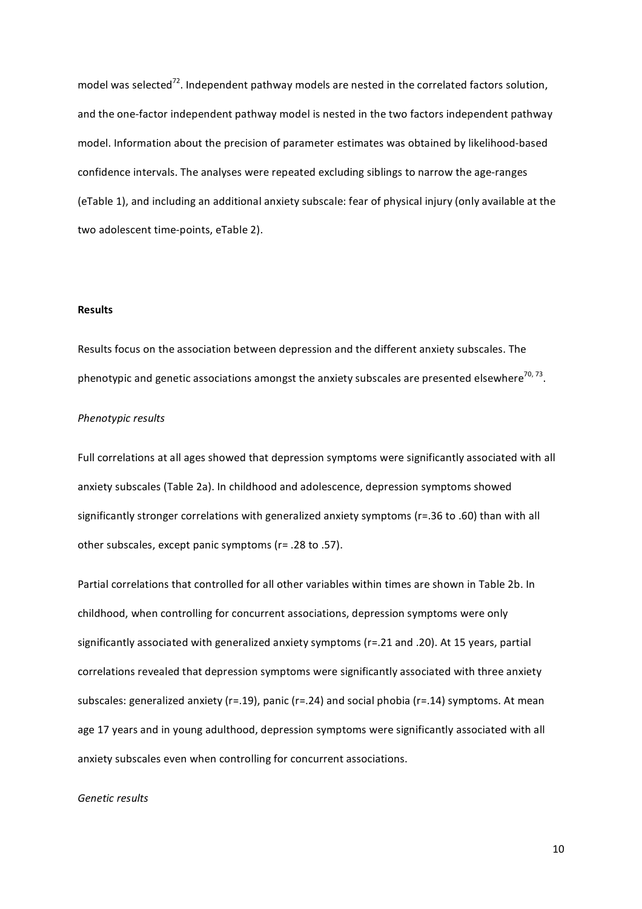model was selected<sup>72</sup>. Independent pathway models are nested in the correlated factors solution, and the one-factor independent pathway model is nested in the two factors independent pathway model. Information about the precision of parameter estimates was obtained by likelihood-based confidence intervals. The analyses were repeated excluding siblings to narrow the age-ranges (eTable 1), and including an additional anxiety subscale: fear of physical injury (only available at the two adolescent time-points, eTable 2).

## **Results**

Results focus on the association between depression and the different anxiety subscales. The phenotypic and genetic associations amongst the anxiety subscales are presented elsewhere<sup>70,73</sup>.

## **Phenotypic results**

Full correlations at all ages showed that depression symptoms were significantly associated with all anxiety subscales (Table 2a). In childhood and adolescence, depression symptoms showed significantly stronger correlations with generalized anxiety symptoms (r=.36 to .60) than with all other subscales, except panic symptoms ( $r=$  .28 to .57).

Partial correlations that controlled for all other variables within times are shown in Table 2b. In childhood, when controlling for concurrent associations, depression symptoms were only significantly associated with generalized anxiety symptoms (r=.21 and .20). At 15 years, partial correlations revealed that depression symptoms were significantly associated with three anxiety subscales: generalized anxiety (r=.19), panic (r=.24) and social phobia (r=.14) symptoms. At mean age 17 years and in young adulthood, depression symptoms were significantly associated with all anxiety subscales even when controlling for concurrent associations.

## Genetic results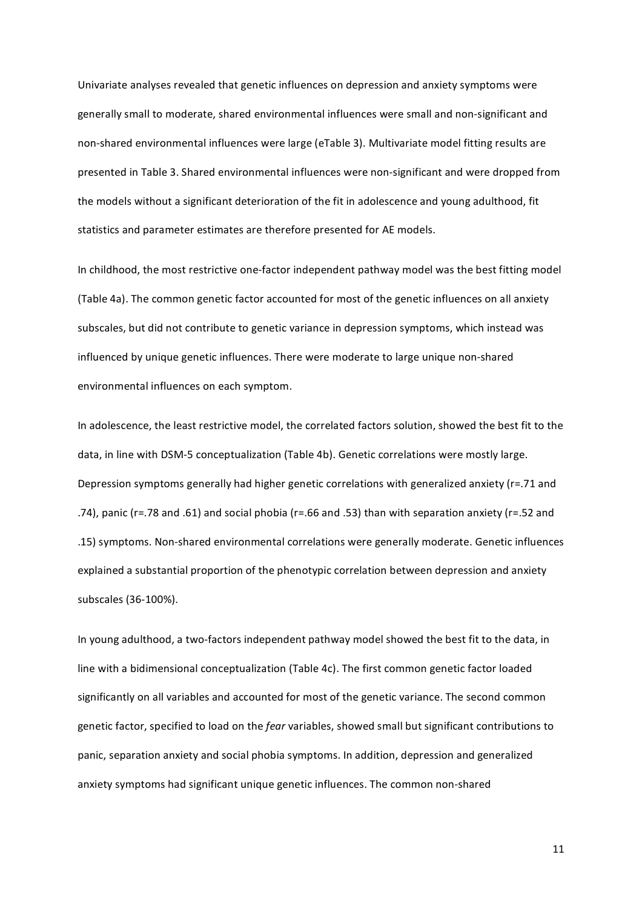Univariate analyses revealed that genetic influences on depression and anxiety symptoms were generally small to moderate, shared environmental influences were small and non-significant and non-shared environmental influences were large (eTable 3). Multivariate model fitting results are presented in Table 3. Shared environmental influences were non-significant and were dropped from the models without a significant deterioration of the fit in adolescence and young adulthood, fit statistics and parameter estimates are therefore presented for AE models.

In childhood, the most restrictive one-factor independent pathway model was the best fitting model (Table 4a). The common genetic factor accounted for most of the genetic influences on all anxiety subscales, but did not contribute to genetic variance in depression symptoms, which instead was influenced by unique genetic influences. There were moderate to large unique non-shared environmental influences on each symptom.

In adolescence, the least restrictive model, the correlated factors solution, showed the best fit to the data, in line with DSM-5 conceptualization (Table 4b). Genetic correlations were mostly large. Depression symptoms generally had higher genetic correlations with generalized anxiety (r=.71 and .74), panic (r=.78 and .61) and social phobia (r=.66 and .53) than with separation anxiety (r=.52 and .15) symptoms. Non-shared environmental correlations were generally moderate. Genetic influences explained a substantial proportion of the phenotypic correlation between depression and anxiety subscales (36-100%).

In young adulthood, a two-factors independent pathway model showed the best fit to the data, in line with a bidimensional conceptualization (Table 4c). The first common genetic factor loaded significantly on all variables and accounted for most of the genetic variance. The second common genetic factor, specified to load on the *fear* variables, showed small but significant contributions to panic, separation anxiety and social phobia symptoms. In addition, depression and generalized anxiety symptoms had significant unique genetic influences. The common non-shared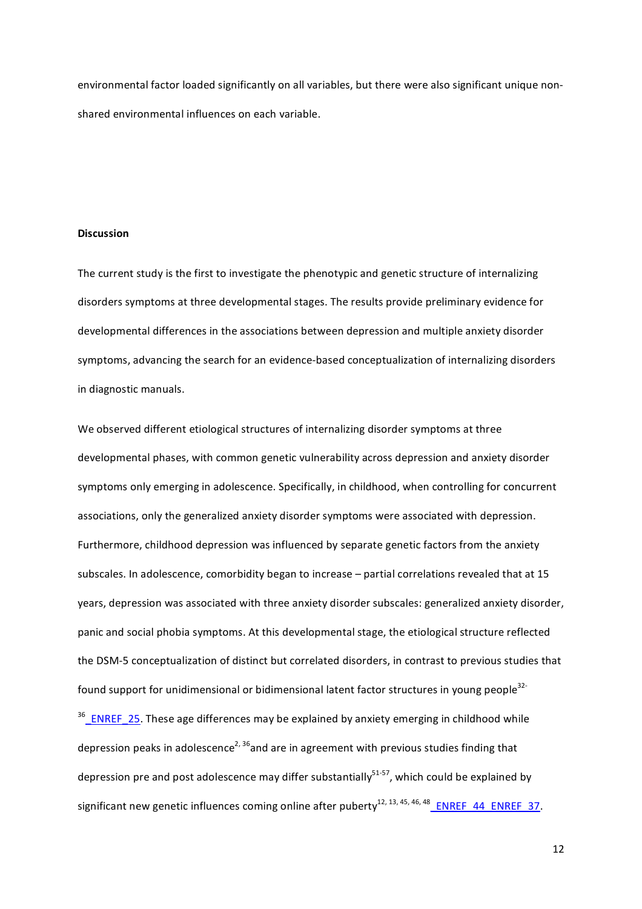environmental factor loaded significantly on all variables, but there were also significant unique nonshared environmental influences on each variable.

#### **Discussion**

The current study is the first to investigate the phenotypic and genetic structure of internalizing disorders symptoms at three developmental stages. The results provide preliminary evidence for developmental differences in the associations between depression and multiple anxiety disorder symptoms, advancing the search for an evidence-based conceptualization of internalizing disorders in diagnostic manuals.

We observed different etiological structures of internalizing disorder symptoms at three developmental phases, with common genetic vulnerability across depression and anxiety disorder symptoms only emerging in adolescence. Specifically, in childhood, when controlling for concurrent associations, only the generalized anxiety disorder symptoms were associated with depression. Furthermore, childhood depression was influenced by separate genetic factors from the anxiety subscales. In adolescence, comorbidity began to increase – partial correlations revealed that at 15 years, depression was associated with three anxiety disorder subscales: generalized anxiety disorder, panic and social phobia symptoms. At this developmental stage, the etiological structure reflected the DSM-5 conceptualization of distinct but correlated disorders, in contrast to previous studies that found support for unidimensional or bidimensional latent factor structures in young people<sup>32-</sup>  $36$  ENREF\_25. These age differences may be explained by anxiety emerging in childhood while depression peaks in adolescence<sup>2, 36</sup>and are in agreement with previous studies finding that

significant new genetic influences coming online after puberty<sup>12, 13, 45, 46, 48</sup> ENREF 44 ENREF 37.

depression pre and post adolescence may differ substantially<sup>51-57</sup>, which could be explained by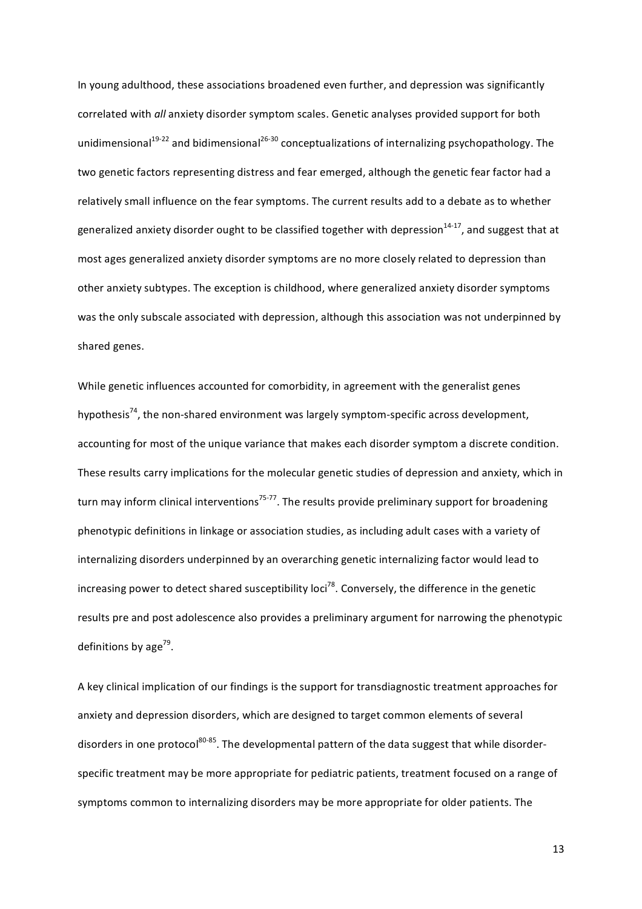In young adulthood, these associations broadened even further, and depression was significantly correlated with *all* anxiety disorder symptom scales. Genetic analyses provided support for both unidimensional<sup>19-22</sup> and bidimensional<sup>26-30</sup> conceptualizations of internalizing psychopathology. The two genetic factors representing distress and fear emerged, although the genetic fear factor had a relatively small influence on the fear symptoms. The current results add to a debate as to whether generalized anxiety disorder ought to be classified together with depression<sup>14-17</sup>, and suggest that at most ages generalized anxiety disorder symptoms are no more closely related to depression than other anxiety subtypes. The exception is childhood, where generalized anxiety disorder symptoms was the only subscale associated with depression, although this association was not underpinned by shared genes.

While genetic influences accounted for comorbidity, in agreement with the generalist genes hypothesis<sup>74</sup>, the non-shared environment was largely symptom-specific across development, accounting for most of the unique variance that makes each disorder symptom a discrete condition. These results carry implications for the molecular genetic studies of depression and anxiety, which in turn may inform clinical interventions<sup>75-77</sup>. The results provide preliminary support for broadening phenotypic definitions in linkage or association studies, as including adult cases with a variety of internalizing disorders underpinned by an overarching genetic internalizing factor would lead to increasing power to detect shared susceptibility loci<sup>78</sup>. Conversely, the difference in the genetic results pre and post adolescence also provides a preliminary argument for narrowing the phenotypic definitions by age<sup>79</sup>.

A key clinical implication of our findings is the support for transdiagnostic treatment approaches for anxiety and depression disorders, which are designed to target common elements of several disorders in one protocol<sup>80-85</sup>. The developmental pattern of the data suggest that while disorderspecific treatment may be more appropriate for pediatric patients, treatment focused on a range of symptoms common to internalizing disorders may be more appropriate for older patients. The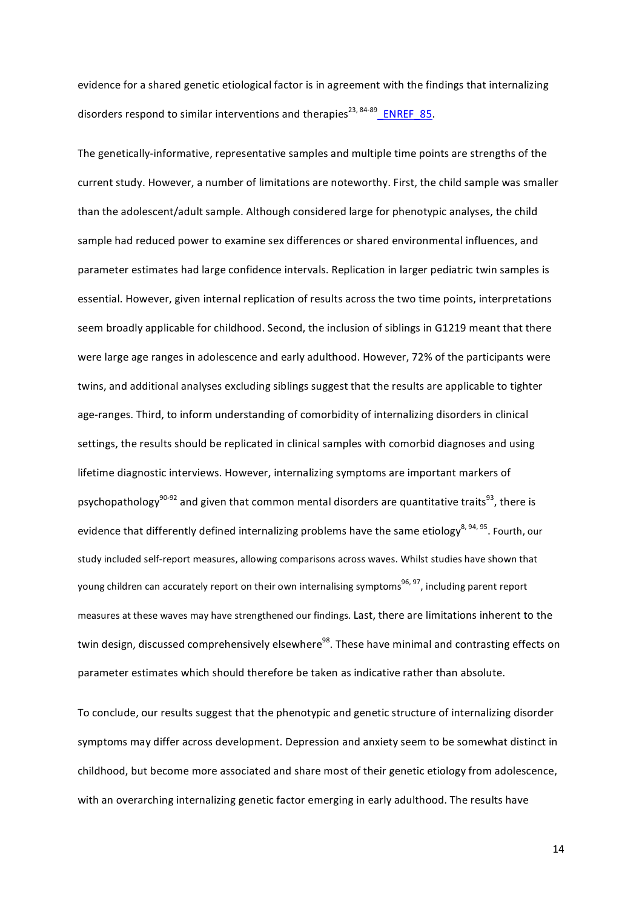evidence for a shared genetic etiological factor is in agreement with the findings that internalizing disorders respond to similar interventions and therapies<sup>23, 84-89</sup> ENREF 85.

The genetically-informative, representative samples and multiple time points are strengths of the current study. However, a number of limitations are noteworthy. First, the child sample was smaller than the adolescent/adult sample. Although considered large for phenotypic analyses, the child sample had reduced power to examine sex differences or shared environmental influences, and parameter estimates had large confidence intervals. Replication in larger pediatric twin samples is essential. However, given internal replication of results across the two time points, interpretations seem broadly applicable for childhood. Second, the inclusion of siblings in G1219 meant that there were large age ranges in adolescence and early adulthood. However, 72% of the participants were twins, and additional analyses excluding siblings suggest that the results are applicable to tighter age-ranges. Third, to inform understanding of comorbidity of internalizing disorders in clinical settings, the results should be replicated in clinical samples with comorbid diagnoses and using lifetime diagnostic interviews. However, internalizing symptoms are important markers of psychopathology<sup>90-92</sup> and given that common mental disorders are quantitative traits<sup>93</sup>, there is evidence that differently defined internalizing problems have the same etiology<sup>8, 94, 95</sup>. Fourth, our study included self-report measures, allowing comparisons across waves. Whilst studies have shown that young children can accurately report on their own internalising symptoms<sup>96, 97</sup>, including parent report measures at these waves may have strengthened our findings. Last, there are limitations inherent to the twin design, discussed comprehensively elsewhere<sup>98</sup>. These have minimal and contrasting effects on parameter estimates which should therefore be taken as indicative rather than absolute.

To conclude, our results suggest that the phenotypic and genetic structure of internalizing disorder symptoms may differ across development. Depression and anxiety seem to be somewhat distinct in childhood, but become more associated and share most of their genetic etiology from adolescence, with an overarching internalizing genetic factor emerging in early adulthood. The results have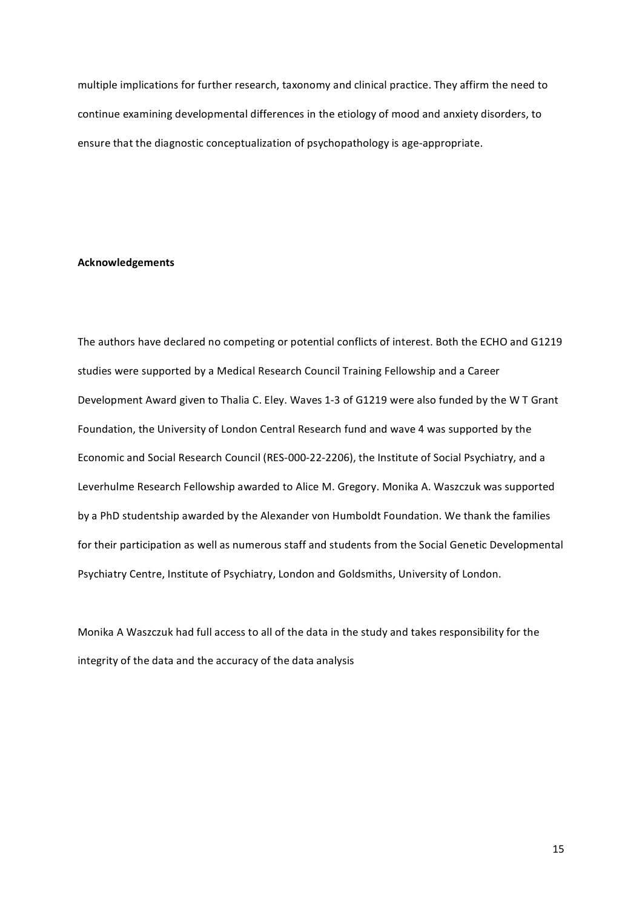multiple implications for further research, taxonomy and clinical practice. They affirm the need to continue examining developmental differences in the etiology of mood and anxiety disorders, to ensure that the diagnostic conceptualization of psychopathology is age-appropriate.

## **Acknowledgements**

The authors have declared no competing or potential conflicts of interest. Both the ECHO and G1219 studies were supported by a Medical Research Council Training Fellowship and a Career Development Award given to Thalia C. Eley. Waves 1-3 of G1219 were also funded by the W T Grant Foundation, the University of London Central Research fund and wave 4 was supported by the Economic and Social Research Council (RES-000-22-2206), the Institute of Social Psychiatry, and a Leverhulme Research Fellowship awarded to Alice M. Gregory. Monika A. Waszczuk was supported by a PhD studentship awarded by the Alexander von Humboldt Foundation. We thank the families for their participation as well as numerous staff and students from the Social Genetic Developmental Psychiatry Centre, Institute of Psychiatry, London and Goldsmiths, University of London.

Monika A Waszczuk had full access to all of the data in the study and takes responsibility for the integrity of the data and the accuracy of the data analysis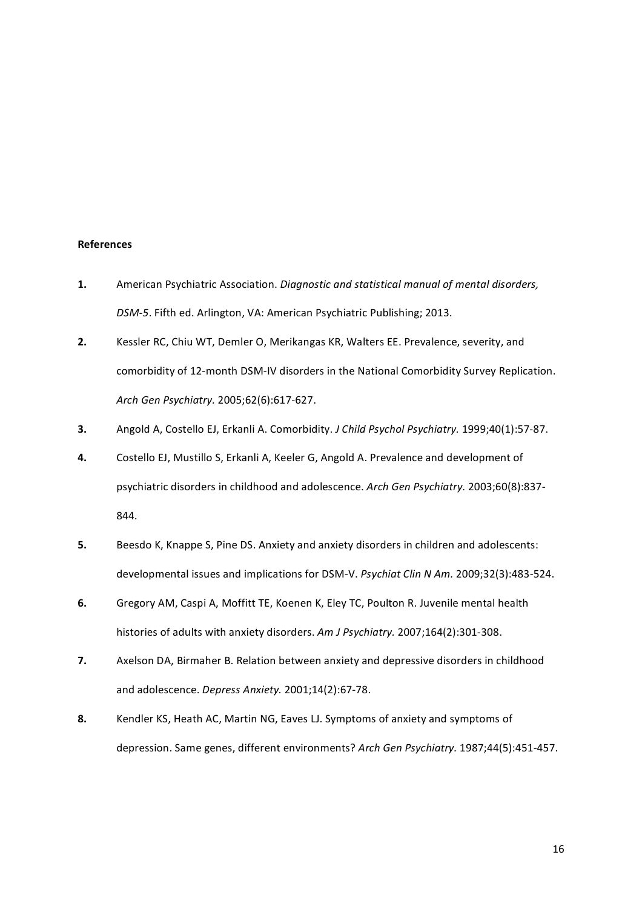## **References**

- **1.** American Psychiatric Association. *Diagnostic and statistical manual of mental disorders,* DSM-5. Fifth ed. Arlington, VA: American Psychiatric Publishing; 2013.
- **2.** Kessler RC, Chiu WT, Demler O, Merikangas KR, Walters EE. Prevalence, severity, and comorbidity of 12-month DSM-IV disorders in the National Comorbidity Survey Replication. *Arch Gen Psychiatry.* 2005;62(6):617-627.
- **3.** Angold A, Costello EJ, Erkanli A. Comorbidity. *J Child Psychol Psychiatry*. 1999;40(1):57-87.
- **4.** Costello EJ, Mustillo S, Erkanli A, Keeler G, Angold A. Prevalence and development of psychiatric disorders in childhood and adolescence. Arch Gen Psychiatry. 2003;60(8):837-844.
- **5.** Beesdo K, Knappe S, Pine DS. Anxiety and anxiety disorders in children and adolescents: developmental issues and implications for DSM-V. *Psychiat Clin N Am.* 2009;32(3):483-524.
- **6.** Gregory AM, Caspi A, Moffitt TE, Koenen K, Eley TC, Poulton R. Juvenile mental health histories of adults with anxiety disorders. Am J Psychiatry. 2007;164(2):301-308.
- **7.** Axelson DA, Birmaher B. Relation between anxiety and depressive disorders in childhood and adolescence. *Depress Anxiety.* 2001;14(2):67-78.
- **8.** Kendler KS, Heath AC, Martin NG, Eaves LJ. Symptoms of anxiety and symptoms of depression. Same genes, different environments? Arch Gen Psychiatry. 1987;44(5):451-457.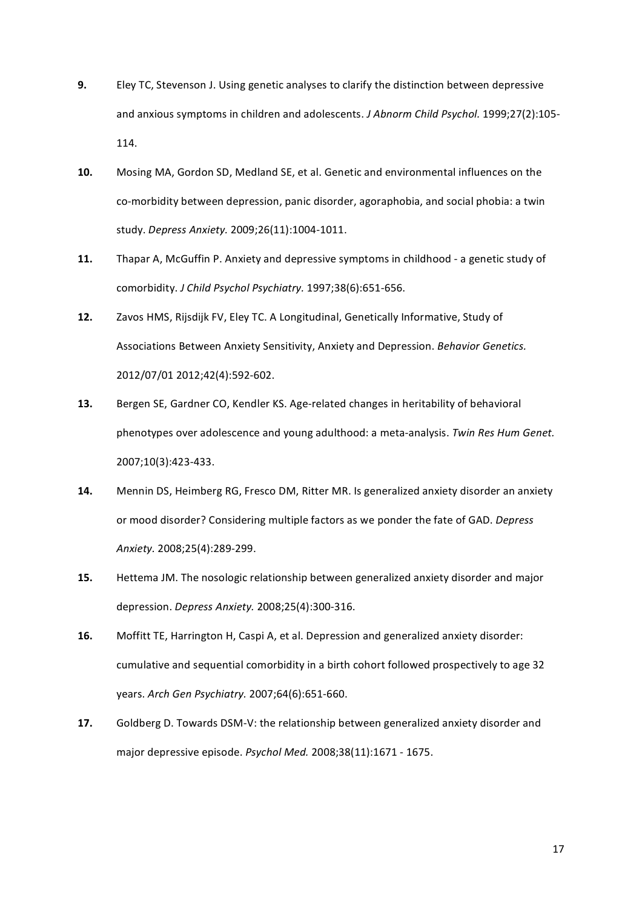- **9.** Eley TC, Stevenson J. Using genetic analyses to clarify the distinction between depressive and anxious symptoms in children and adolescents. *J Abnorm Child Psychol.* 1999;27(2):105-114.
- **10.** Mosing MA, Gordon SD, Medland SE, et al. Genetic and environmental influences on the co-morbidity between depression, panic disorder, agoraphobia, and social phobia: a twin study. Depress Anxiety. 2009;26(11):1004-1011.
- **11.** Thapar A, McGuffin P. Anxiety and depressive symptoms in childhood a genetic study of comorbidity. *J Child Psychol Psychiatry.* 1997;38(6):651-656.
- 12. Zavos HMS, Rijsdijk FV, Eley TC. A Longitudinal, Genetically Informative, Study of Associations Between Anxiety Sensitivity, Anxiety and Depression. *Behavior Genetics.* 2012/07/01 2012;42(4):592-602.
- **13.** Bergen SE, Gardner CO, Kendler KS. Age-related changes in heritability of behavioral phenotypes over adolescence and young adulthood: a meta-analysis. *Twin Res Hum Genet.* 2007;10(3):423-433.
- **14.** Mennin DS, Heimberg RG, Fresco DM, Ritter MR. Is generalized anxiety disorder an anxiety or mood disorder? Considering multiple factors as we ponder the fate of GAD. *Depress* Anxiety. 2008;25(4):289-299.
- **15.** Hettema JM. The nosologic relationship between generalized anxiety disorder and major depression. *Depress Anxiety.* 2008;25(4):300-316.
- **16.** Moffitt TE, Harrington H, Caspi A, et al. Depression and generalized anxiety disorder: cumulative and sequential comorbidity in a birth cohort followed prospectively to age 32 vears. Arch Gen Psychiatry. 2007;64(6):651-660.
- **17.** Goldberg D. Towards DSM-V: the relationship between generalized anxiety disorder and major depressive episode. *Psychol Med.* 2008;38(11):1671 - 1675.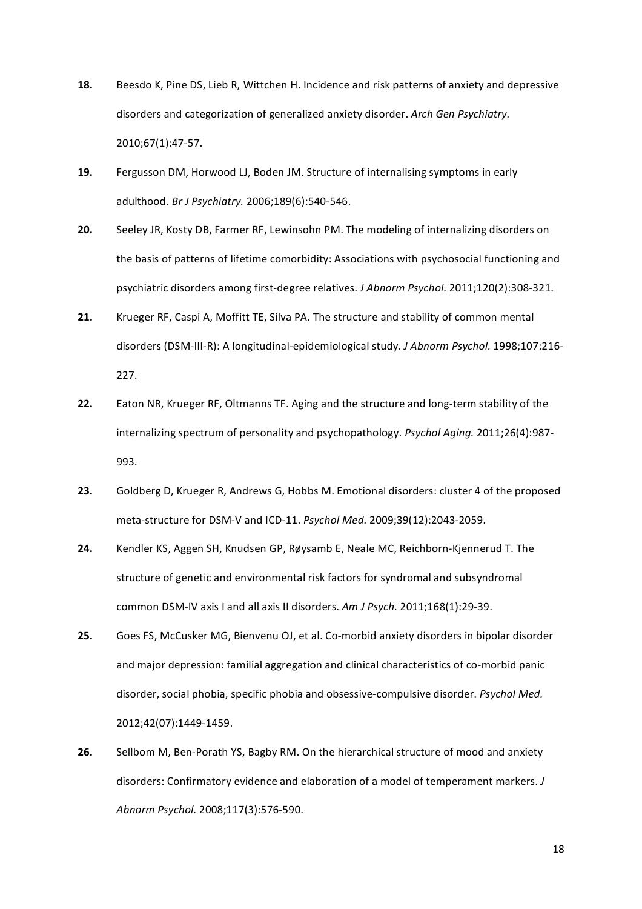- **18.** Beesdo K, Pine DS, Lieb R, Wittchen H. Incidence and risk patterns of anxiety and depressive disorders and categorization of generalized anxiety disorder. Arch Gen Psychiatry. 2010;67(1):47-57.
- **19.** Fergusson DM, Horwood LJ, Boden JM. Structure of internalising symptoms in early adulthood. *Br J Psychiatry.* 2006;189(6):540-546.
- 20. Seeley JR, Kosty DB, Farmer RF, Lewinsohn PM. The modeling of internalizing disorders on the basis of patterns of lifetime comorbidity: Associations with psychosocial functioning and psychiatric disorders among first-degree relatives. *J Abnorm Psychol.* 2011;120(2):308-321.
- 21. Krueger RF, Caspi A, Moffitt TE, Silva PA. The structure and stability of common mental disorders (DSM-III-R): A longitudinal-epidemiological study. *J Abnorm Psychol.* 1998;107:216-227.
- **22.** Eaton NR, Krueger RF, Oltmanns TF. Aging and the structure and long-term stability of the internalizing spectrum of personality and psychopathology. Psychol Aging. 2011;26(4):987-993.
- 23. Goldberg D, Krueger R, Andrews G, Hobbs M. Emotional disorders: cluster 4 of the proposed meta-structure for DSM-V and ICD-11. *Psychol Med.* 2009;39(12):2043-2059.
- 24. Kendler KS, Aggen SH, Knudsen GP, Røysamb E, Neale MC, Reichborn-Kjennerud T. The structure of genetic and environmental risk factors for syndromal and subsyndromal common DSM-IV axis I and all axis II disorders. Am J Psych. 2011;168(1):29-39.
- 25. Goes FS, McCusker MG, Bienvenu OJ, et al. Co-morbid anxiety disorders in bipolar disorder and major depression: familial aggregation and clinical characteristics of co-morbid panic disorder, social phobia, specific phobia and obsessive-compulsive disorder. *Psychol Med.* 2012;42(07):1449-1459.
- **26.** Sellbom M, Ben-Porath YS, Bagby RM. On the hierarchical structure of mood and anxiety disorders: Confirmatory evidence and elaboration of a model of temperament markers. *J Abnorm Psychol.* 2008;117(3):576-590.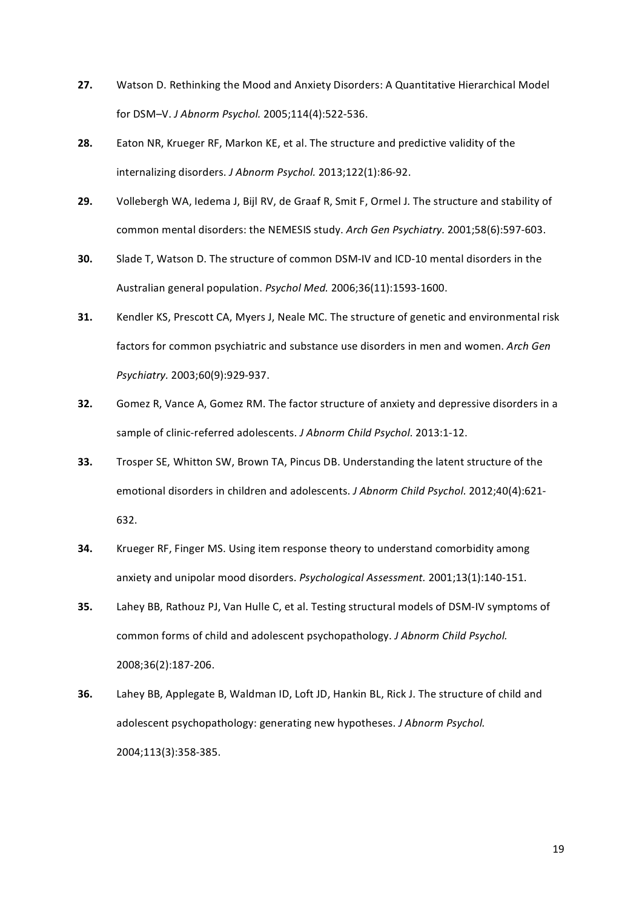- **27.** Watson D. Rethinking the Mood and Anxiety Disorders: A Quantitative Hierarchical Model for DSM-V. J Abnorm Psychol. 2005;114(4):522-536.
- **28.** Eaton NR, Krueger RF, Markon KE, et al. The structure and predictive validity of the internalizing disorders. *J Abnorm Psychol.* 2013;122(1):86-92.
- 29. Vollebergh WA, Iedema J, Bijl RV, de Graaf R, Smit F, Ormel J. The structure and stability of common mental disorders: the NEMESIS study. Arch Gen Psychiatry. 2001;58(6):597-603.
- **30.** Slade T, Watson D. The structure of common DSM-IV and ICD-10 mental disorders in the Australian general population. *Psychol Med.* 2006;36(11):1593-1600.
- **31.** Kendler KS, Prescott CA, Myers J, Neale MC. The structure of genetic and environmental risk factors for common psychiatric and substance use disorders in men and women. Arch Gen *Psychiatry.* 2003;60(9):929-937.
- **32.** Gomez R, Vance A, Gomez RM. The factor structure of anxiety and depressive disorders in a sample of clinic-referred adolescents. *J Abnorm Child Psychol.* 2013:1-12.
- **33.** Trosper SE, Whitton SW, Brown TA, Pincus DB. Understanding the latent structure of the emotional disorders in children and adolescents. *J Abnorm Child Psychol.* 2012:40(4):621-632.
- **34.** Krueger RF, Finger MS. Using item response theory to understand comorbidity among anxiety and unipolar mood disorders. *Psychological Assessment.* 2001;13(1):140-151.
- **35.** Lahey BB, Rathouz PJ, Van Hulle C, et al. Testing structural models of DSM-IV symptoms of common forms of child and adolescent psychopathology. *J Abnorm Child Psychol.* 2008;36(2):187-206.
- **36.** Lahey BB, Applegate B, Waldman ID, Loft JD, Hankin BL, Rick J. The structure of child and adolescent psychopathology: generating new hypotheses. *J Abnorm Psychol.* 2004;113(3):358-385.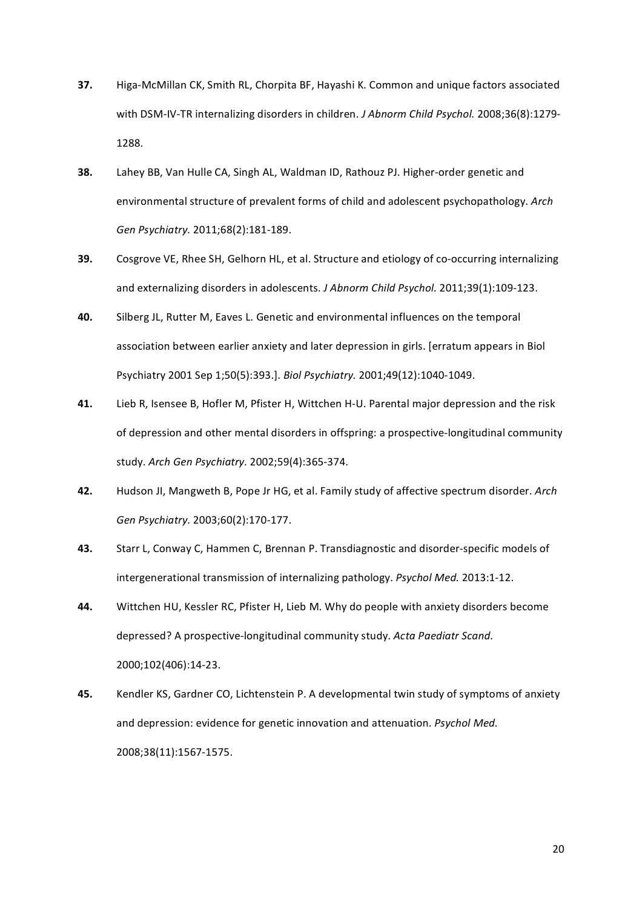- **37.** Higa-McMillan CK, Smith RL, Chorpita BF, Hayashi K. Common and unique factors associated with DSM-IV-TR internalizing disorders in children. *J Abnorm Child Psychol.* 2008;36(8):1279-1288.
- **38.** Lahey BB, Van Hulle CA, Singh AL, Waldman ID, Rathouz PJ. Higher-order genetic and environmental structure of prevalent forms of child and adolescent psychopathology. Arch *Gen Psychiatry.* 2011;68(2):181-189.
- **39.** Cosgrove VE, Rhee SH, Gelhorn HL, et al. Structure and etiology of co-occurring internalizing and externalizing disorders in adolescents. *J Abnorm Child Psychol.* 2011;39(1):109-123.
- **40.** Silberg JL, Rutter M, Eaves L. Genetic and environmental influences on the temporal association between earlier anxiety and later depression in girls. [erratum appears in Biol" Psychiatry 2001 Sep 1;50(5):393.]. *Biol Psychiatry.* 2001;49(12):1040-1049.
- **41.** Lieb R, Isensee B, Hofler M, Pfister H, Wittchen H-U. Parental major depression and the risk of depression and other mental disorders in offspring: a prospective-longitudinal community study. Arch Gen Psychiatry. 2002;59(4):365-374.
- **42.** Hudson JI, Mangweth B, Pope Jr HG, et al. Family study of affective spectrum disorder. *Arch Gen Psychiatry.* 2003;60(2):170-177.
- 43. Starr L, Conway C, Hammen C, Brennan P. Transdiagnostic and disorder-specific models of intergenerational transmission of internalizing pathology. *Psychol Med.* 2013:1-12.
- 44. Wittchen HU, Kessler RC, Pfister H, Lieb M. Why do people with anxiety disorders become depressed? A prospective-longitudinal community study. *Acta Paediatr Scand.* 2000;102(406):14b23.
- **45.** Kendler KS, Gardner CO, Lichtenstein P. A developmental twin study of symptoms of anxiety and depression: evidence for genetic innovation and attenuation. *Psychol Med.* 2008;38(11):1567-1575.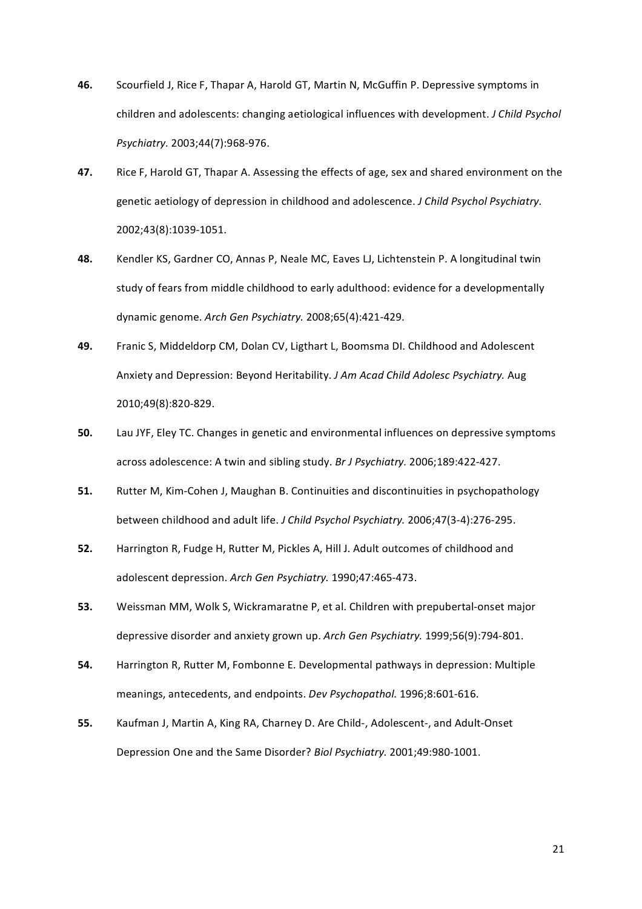- **46.** Scourfield J, Rice F, Thapar A, Harold GT, Martin N, McGuffin P. Depressive symptoms in children and adolescents: changing aetiological influences with development. *J Child Psychol Psychiatry.* 2003;44(7):968-976.
- **47.** Rice F, Harold GT, Thapar A. Assessing the effects of age, sex and shared environment on the genetic aetiology of depression in childhood and adolescence. *J Child Psychol Psychiatry.* 2002;43(8):1039-1051.
- 48. Kendler KS, Gardner CO, Annas P, Neale MC, Eaves LJ, Lichtenstein P. A longitudinal twin study of fears from middle childhood to early adulthood: evidence for a developmentally dynamic genome. Arch Gen Psychiatry. 2008;65(4):421-429.
- **49.** Franic S, Middeldorp CM, Dolan CV, Ligthart L, Boomsma DI. Childhood and Adolescent Anxiety and Depression: Beyond Heritability. *J Am Acad Child Adolesc Psychiatry.* Aug 2010;49(8):820-829.
- **50.** Lau JYF, Eley TC. Changes in genetic and environmental influences on depressive symptoms across adolescence: A twin and sibling study. *Br J Psychiatry.* 2006;189:422-427.
- **51.** Rutter M, Kim-Cohen J, Maughan B. Continuities and discontinuities in psychopathology between childhood and adult life. *J Child Psychol Psychiatry*. 2006;47(3-4):276-295.
- **52.** Harrington R, Fudge H, Rutter M, Pickles A, Hill J. Adult outcomes of childhood and adolescent depression. Arch Gen Psychiatry. 1990;47:465-473.
- **53.** Weissman MM, Wolk S, Wickramaratne P, et al. Children with prepubertal-onset major depressive disorder and anxiety grown up. *Arch Gen Psychiatry.* 1999;56(9):794-801.
- **54.** Harrington R, Rutter M, Fombonne E. Developmental pathways in depression: Multiple meanings, antecedents, and endpoints. *Dev Psychopathol.* 1996;8:601-616.
- **55.** Kaufman J, Martin A, King RA, Charney D. Are Child-, Adolescent-, and Adult-Onset Depression One and the Same Disorder? *Biol Psychiatry.* 2001;49:980-1001.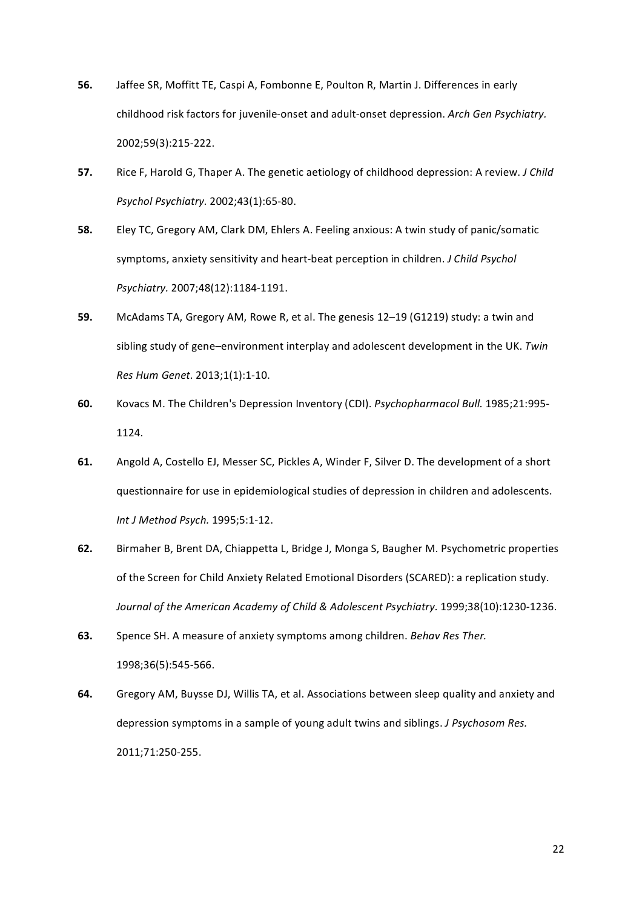- **56.** Jaffee SR, Moffitt TE, Caspi A, Fombonne E, Poulton R, Martin J. Differences in early childhood risk factors for juvenile-onset and adult-onset depression. Arch Gen Psychiatry. 2002;59(3):215-222.
- **57.** Rice F, Harold G, Thaper A. The genetic aetiology of childhood depression: A review. *J Child Psychol Psychiatry.* 2002;43(1):65-80.
- **58.** Eley TC, Gregory AM, Clark DM, Ehlers A. Feeling anxious: A twin study of panic/somatic symptoms, anxiety sensitivity and heart-beat perception in children. *J Child Psychol Psychiatry.* 2007;48(12):1184-1191.
- **59.** McAdams TA, Gregory AM, Rowe R, et al. The genesis 12–19 (G1219) study: a twin and sibling study of gene–environment interplay and adolescent development in the UK. Twin *Res Hum Genet.* 2013;1(1):1-10.
- 60. Kovacs M. The Children's Depression Inventory (CDI). *Psychopharmacol Bull.* 1985;21:995-1124.
- 61. Angold A, Costello EJ, Messer SC, Pickles A, Winder F, Silver D. The development of a short questionnaire for use in epidemiological studies of depression in children and adolescents. *Int J Method Psych.* 1995;5:1-12.
- 62. Birmaher B, Brent DA, Chiappetta L, Bridge J, Monga S, Baugher M. Psychometric properties of the Screen for Child Anxiety Related Emotional Disorders (SCARED): a replication study. Journal of the American Academy of Child & Adolescent Psychiatry. 1999;38(10):1230-1236.
- **63.** Spence SH. A measure of anxiety symptoms among children. *Behav Res Ther.* 1998;36(5):545-566.
- 64. Gregory AM, Buysse DJ, Willis TA, et al. Associations between sleep quality and anxiety and depression symptoms in a sample of young adult twins and siblings. *J Psychosom Res.* 2011;71:250-255.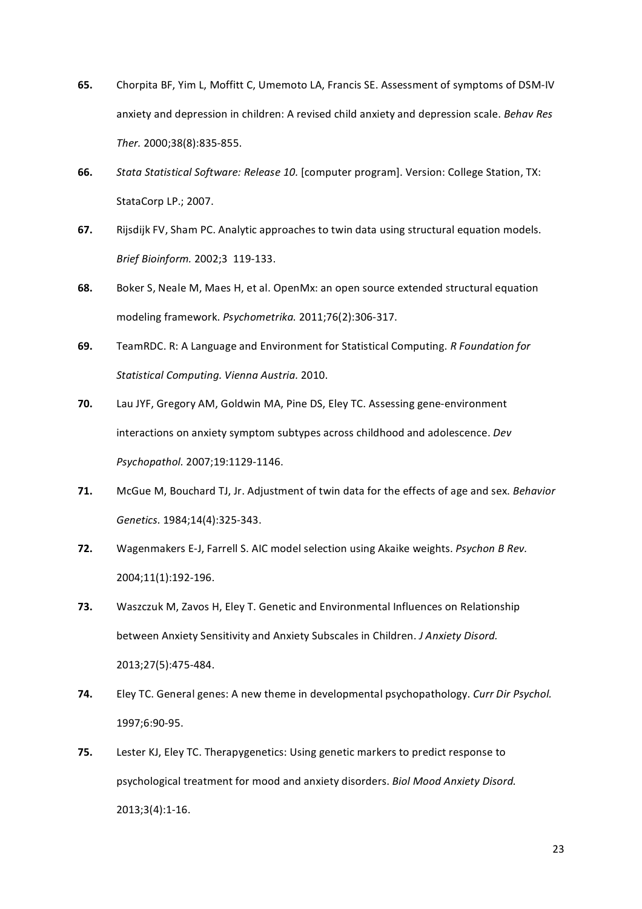- 65. Chorpita BF, Yim L, Moffitt C, Umemoto LA, Francis SE. Assessment of symptoms of DSM-IV anxiety and depression in children: A revised child anxiety and depression scale. *Behav Res Ther.* 2000;38(8):835-855.
- **66.** *Stata Statistical Software: Release 10.* [computer program]. Version: College Station, TX: StataCorp LP.; 2007.
- 67. Rijsdijk FV, Sham PC. Analytic approaches to twin data using structural equation models. *Brief Bioinform.* 2002;3 119-133.
- **68.** Boker S, Neale M, Maes H, et al. OpenMx: an open source extended structural equation modeling framework. *Psychometrika.* 2011;76(2):306-317.
- **69.** TeamRDC. R: A Language and Environment for Statistical Computing. *R Foundation for Statistical)Computing.)Vienna)Austria.)*2010.
- **70.** Lau JYF, Gregory AM, Goldwin MA, Pine DS, Eley TC. Assessing gene-environment interactions on anxiety symptom subtypes across childhood and adolescence. *Dev* Psychopathol. 2007;19:1129-1146.
- **71.** McGue M, Bouchard TJ, Jr. Adjustment of twin data for the effects of age and sex. *Behavior Genetics.* 1984;14(4):325-343.
- 72. Wagenmakers E-J, Farrell S. AIC model selection using Akaike weights. *Psychon B Rev.* 2004;11(1):192-196.
- **73.** Waszczuk M, Zavos H, Eley T. Genetic and Environmental Influences on Relationship between Anxiety Sensitivity and Anxiety Subscales in Children. *J Anxiety Disord.* 2013;27(5):475-484.
- **74.** Eley TC. General genes: A new theme in developmental psychopathology. *Curr Dir Psychol.* 1997;6:90-95.
- **75.** Lester KJ, Eley TC. Therapygenetics: Using genetic markers to predict response to psychological treatment for mood and anxiety disorders. *Biol Mood Anxiety Disord.*  $2013;3(4):1-16.$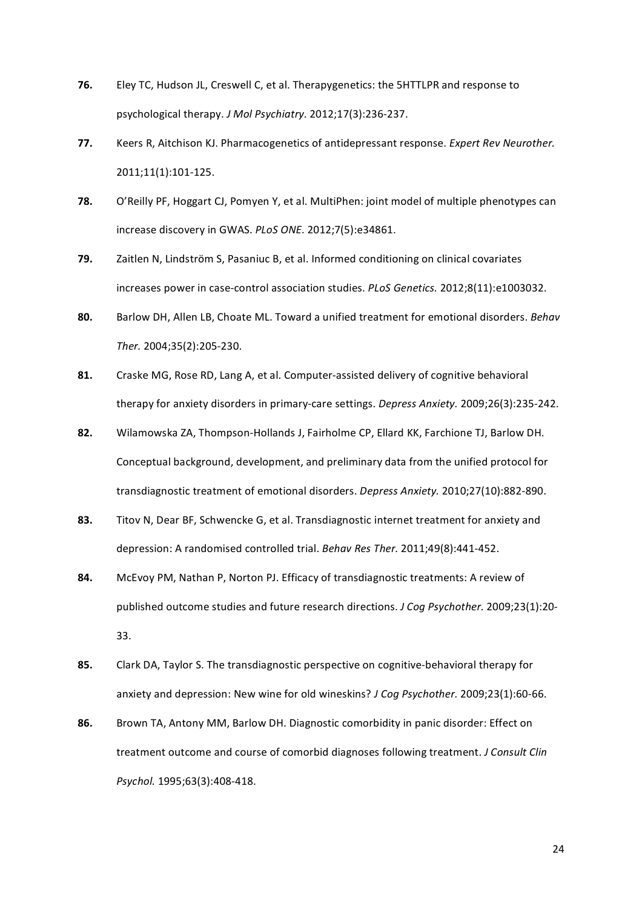- **76.** Eley TC, Hudson JL, Creswell C, et al. Therapygenetics: the 5HTTLPR and response to psychological therapy. *J Mol Psychiatry.* 2012;17(3):236-237.
- 77. Keers R, Aitchison KJ. Pharmacogenetics of antidepressant response. *Expert Rev Neurother.* 2011;11(1):101-125.
- **78.** O'Reilly PF, Hoggart CJ, Pomyen Y, et al. MultiPhen: joint model of multiple phenotypes can increase discovery in GWAS. *PLoS ONE.* 2012;7(5):e34861.
- **79.** Zaitlen N, Lindström S, Pasaniuc B, et al. Informed conditioning on clinical covariates increases power in case-control association studies. *PLoS Genetics.* 2012;8(11):e1003032.
- 80. Barlow DH, Allen LB, Choate ML. Toward a unified treatment for emotional disorders. *Behav Ther.* 2004;35(2):205-230.
- 81. Craske MG, Rose RD, Lang A, et al. Computer-assisted delivery of cognitive behavioral therapy for anxiety disorders in primary-care settings. *Depress Anxiety.* 2009;26(3):235-242.
- 82. Wilamowska ZA, Thompson-Hollands J, Fairholme CP, Ellard KK, Farchione TJ, Barlow DH. Conceptual background, development, and preliminary data from the unified protocol for transdiagnostic treatment of emotional disorders. *Depress Anxiety.* 2010:27(10):882-890.
- 83. Titov N, Dear BF, Schwencke G, et al. Transdiagnostic internet treatment for anxiety and depression: A randomised controlled trial. *Behav Res Ther.* 2011;49(8):441-452.
- 84. McEvoy PM, Nathan P, Norton PJ. Efficacy of transdiagnostic treatments: A review of published outcome studies and future research directions. *J Cog Psychother.* 2009;23(1):20-33.
- 85. Clark DA, Taylor S. The transdiagnostic perspective on cognitive-behavioral therapy for anxiety and depression: New wine for old wineskins? *J Cog Psychother.* 2009;23(1):60-66.
- **86.** Brown TA, Antony MM, Barlow DH. Diagnostic comorbidity in panic disorder: Effect on treatment outcome and course of comorbid diagnoses following treatment. *J Consult Clin* Psychol. 1995;63(3):408-418.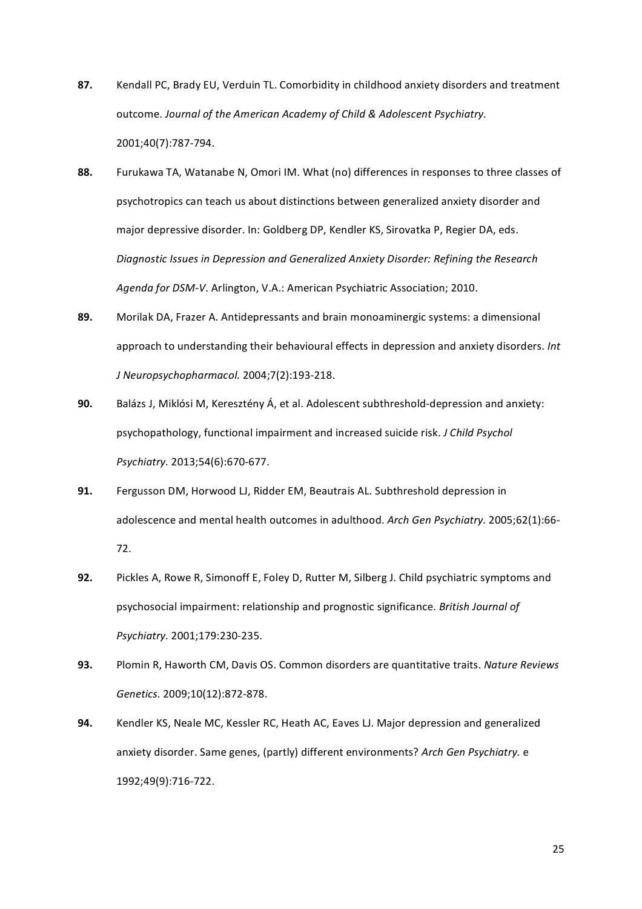- 87. Kendall PC, Brady EU, Verduin TL. Comorbidity in childhood anxiety disorders and treatment outcome. Journal of the American Academy of Child & Adolescent Psychiatry. 2001;40(7):787-794.
- 88. Furukawa TA, Watanabe N, Omori IM. What (no) differences in responses to three classes of psychotropics can teach us about distinctions between generalized anxiety disorder and major depressive disorder. In: Goldberg DP, Kendler KS, Sirovatka P, Regier DA, eds. Diagnostic Issues in Depression and Generalized Anxiety Disorder: Refining the Research Agenda for DSM-V. Arlington, V.A.: American Psychiatric Association; 2010.
- 89. Morilak DA, Frazer A. Antidepressants and brain monoaminergic systems: a dimensional approach to understanding their behavioural effects in depression and anxiety disorders. *Int J* Neuropsychopharmacol. 2004;7(2):193-218.
- **90.** Balázs J, Miklósi M, Keresztény Á, et al. Adolescent subthreshold-depression and anxiety: psychopathology,"functional"impairment"and"increased"suicide"risk."*J)Child)Psychol) Psychiatry.* 2013;54(6):670-677.
- **91.** Fergusson DM, Horwood LJ, Ridder EM, Beautrais AL. Subthreshold depression in adolescence and mental health outcomes in adulthood. Arch Gen Psychiatry. 2005;62(1):66-72.
- **92.** Pickles A, Rowe R, Simonoff E, Foley D, Rutter M, Silberg J. Child psychiatric symptoms and psychosocial impairment: relationship and prognostic significance. *British Journal of Psychiatry.* 2001;179:230-235.
- 93. Plomin R, Haworth CM, Davis OS. Common disorders are quantitative traits. Nature Reviews *Genetics.* 2009;10(12):872-878.
- **94.** Kendler KS, Neale MC, Kessler RC, Heath AC, Eaves LJ. Major depression and generalized anxiety disorder. Same genes, (partly) different environments? Arch Gen Psychiatry. e 1992;49(9):716-722.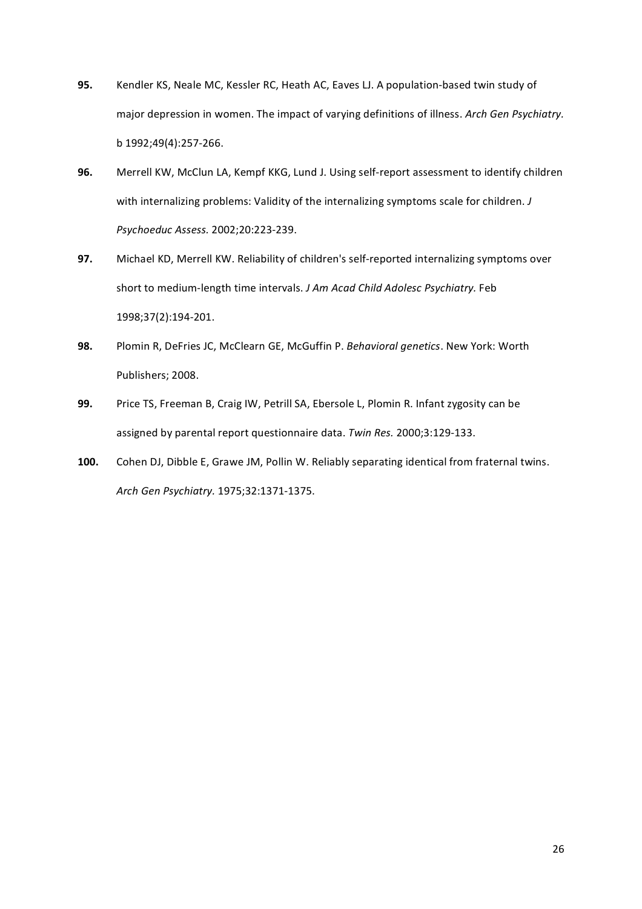- **95.** Kendler KS, Neale MC, Kessler RC, Heath AC, Eaves LJ. A population-based twin study of major depression in women. The impact of varying definitions of illness. Arch Gen Psychiatry. b 1992;49(4):257-266.
- 96. Merrell KW, McClun LA, Kempf KKG, Lund J. Using self-report assessment to identify children with internalizing problems: Validity of the internalizing symptoms scale for children. *J Psychoeduc Assess.* 2002;20:223-239.
- 97. Michael KD, Merrell KW. Reliability of children's self-reported internalizing symptoms over short to medium-length time intervals. *J Am Acad Child Adolesc Psychiatry*. Feb 1998;37(2):194-201.
- 98. Plomin R, DeFries JC, McClearn GE, McGuffin P. Behavioral genetics. New York: Worth Publishers; 2008.
- 99. Price TS, Freeman B, Craig IW, Petrill SA, Ebersole L, Plomin R. Infant zygosity can be assigned by parental report questionnaire data. *Twin Res.* 2000;3:129-133.
- 100. Cohen DJ, Dibble E, Grawe JM, Pollin W. Reliably separating identical from fraternal twins. *Arch Gen Psychiatry.* 1975;32:1371-1375.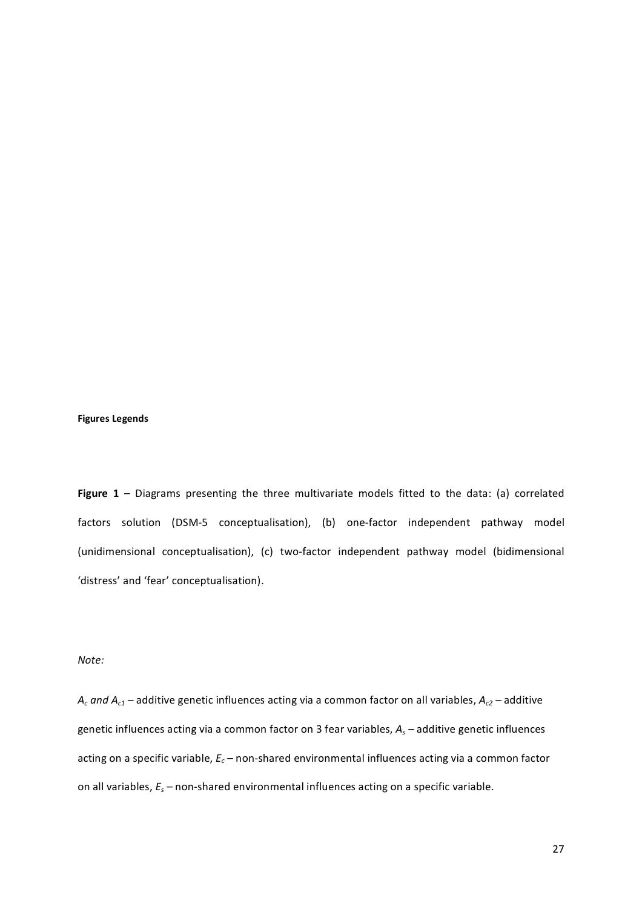## **Figures Legends**

Figure 1 – Diagrams presenting the three multivariate models fitted to the data: (a) correlated factors solution (DSM-5 conceptualisation), (b) one-factor independent pathway model (unidimensional conceptualisation), (c) two-factor independent pathway model (bidimensional 'distress' and 'fear' conceptualisation).

## *Note:*

 $A_c$  and  $A_{c1}$  – additive genetic influences acting via a common factor on all variables,  $A_{c2}$  – additive genetic influences acting via a common factor on 3 fear variables,  $A_s$  – additive genetic influences acting on a specific variable,  $E_c$  – non-shared environmental influences acting via a common factor on all variables,  $E_s$  – non-shared environmental influences acting on a specific variable.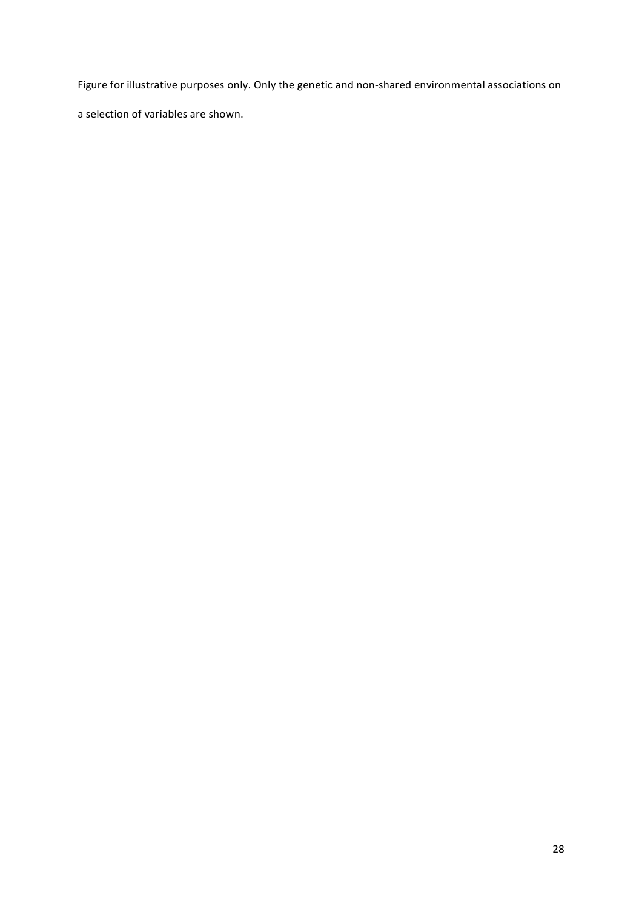Figure for illustrative purposes only. Only the genetic and non-shared environmental associations on

a selection of variables are shown.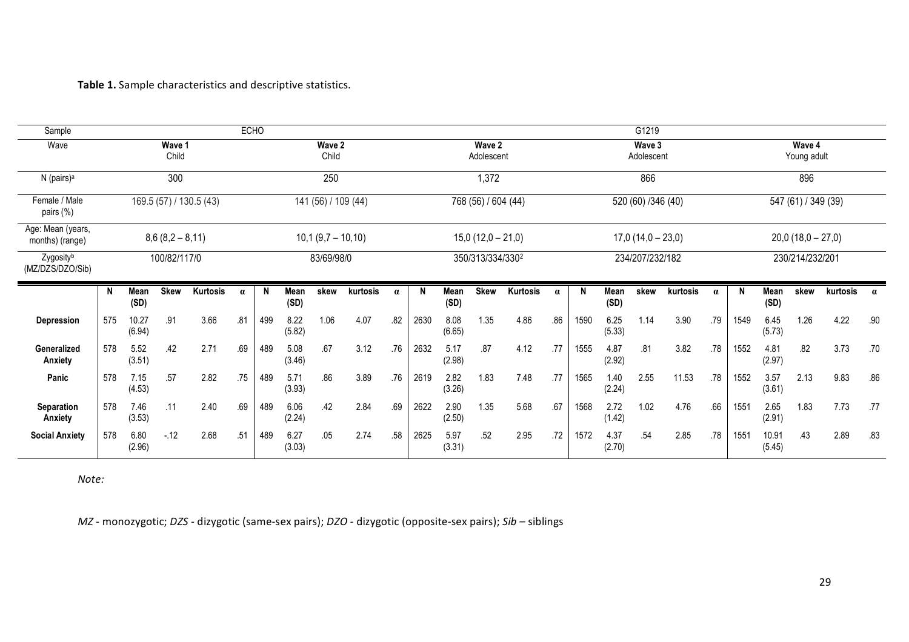## Table 1. Sample characteristics and descriptive statistics.

| Sample                               | ECHO                    |                 |             |                     |          |                 |                |                  | G1219               |                      |      |                    |                      |          |          |                     |                       |      |          |          |      |                 |      |          |          |
|--------------------------------------|-------------------------|-----------------|-------------|---------------------|----------|-----------------|----------------|------------------|---------------------|----------------------|------|--------------------|----------------------|----------|----------|---------------------|-----------------------|------|----------|----------|------|-----------------|------|----------|----------|
| Wave                                 | Wave 1<br>Child         |                 |             |                     |          | Wave 2<br>Child |                |                  |                     | Wave 2<br>Adolescent |      |                    | Wave 3<br>Adolescent |          |          |                     | Wave 4<br>Young adult |      |          |          |      |                 |      |          |          |
| N (pairs) <sup>a</sup>               | 300                     |                 |             |                     | 250      |                 |                |                  |                     | 1,372                |      |                    | 866                  |          |          |                     | 896                   |      |          |          |      |                 |      |          |          |
| Female / Male<br>pairs (%)           | 169.5 (57) / 130.5 (43) |                 |             | 141 (56) / 109 (44) |          |                 |                |                  | 768 (56) / 604 (44) |                      |      | 520 (60) /346 (40) |                      |          |          | 547 (61) / 349 (39) |                       |      |          |          |      |                 |      |          |          |
| Age: Mean (years,<br>months) (range) | $8,6(8,2-8,11)$         |                 |             | $10,1(9,7 - 10,10)$ |          |                 |                |                  | $15,0(12,0-21,0)$   |                      |      |                    | $17,0(14,0-23,0)$    |          |          |                     | $20,0(18,0 - 27,0)$   |      |          |          |      |                 |      |          |          |
| Zygosityb<br>(MZ/DZS/DZO/Sib)        | 100/82/117/0            |                 |             | 83/69/98/0          |          |                 |                | 350/313/334/3302 |                     |                      |      | 234/207/232/182    |                      |          |          | 230/214/232/201     |                       |      |          |          |      |                 |      |          |          |
|                                      | N                       | Mean<br>(SD)    | <b>Skew</b> | Kurtosis            | $\alpha$ | N               | Mean<br>(SD)   | skew             | kurtosis            | $\alpha$             | N    | Mean<br>(SD)       | <b>Skew</b>          | Kurtosis | $\alpha$ | N                   | <b>Mean</b><br>(SD)   | skew | kurtosis | $\alpha$ | N    | Mean<br>(SD)    | skew | kurtosis | $\alpha$ |
| <b>Depression</b>                    | 575                     | 10.27<br>(6.94) | .91         | 3.66                | .81      | 499             | 8.22<br>(5.82) | 1.06             | 4.07                | .82                  | 2630 | 8.08<br>(6.65)     | 1.35                 | 4.86     | .86      | 1590                | 6.25<br>(5.33)        | 1.14 | 3.90     | .79      | 1549 | 6.45<br>(5.73)  | 1.26 | 4.22     | .90      |
| Generalized<br>Anxiety               | 578                     | 5.52<br>(3.51)  | .42         | 2.71                | .69      | 489             | 5.08<br>(3.46) | .67              | 3.12                | .76                  | 2632 | 5.17<br>(2.98)     | .87                  | 4.12     | .77      | 1555                | 4.87<br>(2.92)        | .81  | 3.82     | .78      | 1552 | 4.81<br>(2.97)  | .82  | 3.73     | .70      |
| Panic                                | 578                     | 7.15<br>(4.53)  | .57         | 2.82                | .75      | 489             | 5.71<br>(3.93) | .86              | 3.89                | .76                  | 2619 | 2.82<br>(3.26)     | 1.83                 | 7.48     | .77      | 1565                | 1.40<br>(2.24)        | 2.55 | 11.53    | .78      | 1552 | 3.57<br>(3.61)  | 2.13 | 9.83     | .86      |
| <b>Separation</b><br>Anxiety         | 578                     | 7.46<br>(3.53)  | .11         | 2.40                | .69      | 489             | 6.06<br>(2.24) | .42              | 2.84                | .69                  | 2622 | 2.90<br>(2.50)     | 1.35                 | 5.68     | .67      | 1568                | 2.72<br>(1.42)        | 1.02 | 4.76     | .66      | 1551 | 2.65<br>(2.91)  | 1.83 | 7.73     | .77      |
| <b>Social Anxiety</b>                | 578                     | 6.80<br>(2.96)  | $-12$       | 2.68                | .51      | 489             | 6.27<br>(3.03) | .05              | 2.74                | .58                  | 2625 | 5.97<br>(3.31)     | .52                  | 2.95     | .72      | 1572                | 4.37<br>(2.70)        | .54  | 2.85     | .78      | 1551 | 10.91<br>(5.45) | .43  | 2.89     | .83      |

*Note:*

*MZ* - monozygotic; *DZS* - dizygotic (same-sex pairs); *DZO* - dizygotic (opposite-sex pairs); *Sib* – siblings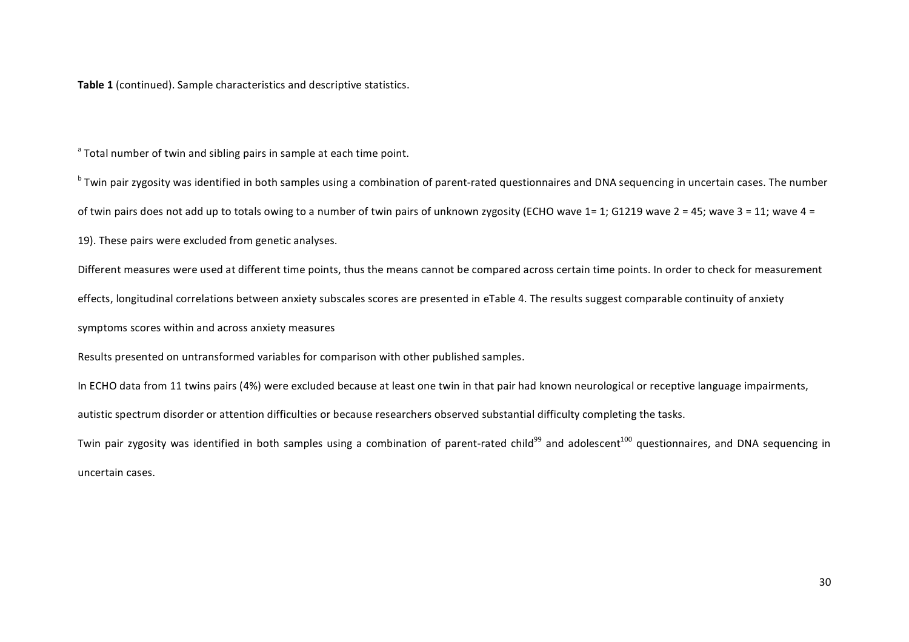**Table 1** (continued). Sample characteristics and descriptive statistics.

<sup>a</sup> Total number of twin and sibling pairs in sample at each time point.

<sup>b</sup> Twin pair zygosity was identified in both samples using a combination of parent-rated questionnaires and DNA sequencing in uncertain cases. The number of twin pairs does not add up to totals owing to a number of twin pairs of unknown zygosity (ECHO wave  $1 = 1$ ; G1219 wave  $2 = 45$ ; wave  $3 = 11$ ; wave  $4 = 1$ 19). These pairs were excluded from genetic analyses.

Different measures were used at different time points, thus the means cannot be compared across certain time points. In order to check for measurement effects, longitudinal correlations between anxiety subscales scores are presented in eTable 4. The results suggest comparable continuity of anxiety symptoms scores within and across anxiety measures

Results presented on untransformed variables for comparison with other published samples.

In ECHO data from 11 twins pairs (4%) were excluded because at least one twin in that pair had known neurological or receptive language impairments, autistic spectrum disorder or attention difficulties or because researchers observed substantial difficulty completing the tasks.

Twin pair zygosity was identified in both samples using a combination of parent-rated child<sup>99</sup> and adolescent<sup>100</sup> questionnaires, and DNA sequencing in uncertain cases.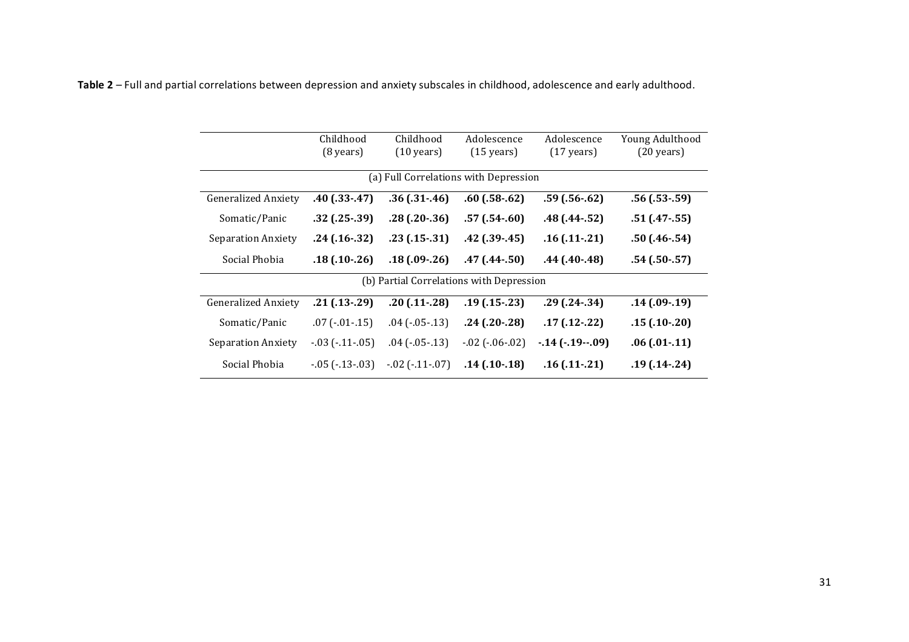Table 2 – Full and partial correlations between depression and anxiety subscales in childhood, adolescence and early adulthood.

|                            | Childhood<br>$(8 \text{ years})$ | Childhood<br>$(10 \text{ years})$ | Adolescence<br>$(15 \text{ years})$      | Adolescence<br>$(17 \text{ years})$ | Young Adulthood<br>$(20 \text{ years})$ |
|----------------------------|----------------------------------|-----------------------------------|------------------------------------------|-------------------------------------|-----------------------------------------|
|                            |                                  |                                   | (a) Full Correlations with Depression    |                                     |                                         |
| <b>Generalized Anxiety</b> | $.40$ $(.33-.47)$                | $.36$ ( $.31 - .46$ )             | $.60$ $(.58-.62)$                        | $.59$ ( $.56 - .62$ )               | $.56$ ( $.53 - .59$ )                   |
| Somatic/Panic              | $.32$ ( $.25-.39$ )              | $.28$ ( $.20 - .36$ )             | $.57(0.54-0.60)$                         | $.48$ ( $.44 - .52$ )               | $.51(.47-.55)$                          |
| <b>Separation Anxiety</b>  | $.24$ (.16 $-0.32$ )             | $.23(.15-.31)$                    | $.42$ ( $.39 - .45$ )                    | $.16$ ( $.11-.21$ )                 | $.50(.46-.54)$                          |
| Social Phobia              | $.18(0.10-0.26)$                 | $.18(0.09-0.26)$                  | $.47(.44-.50)$                           | $.44(.40-.48)$                      | $.54$ ( $.50-.57$ )                     |
|                            |                                  |                                   | (b) Partial Correlations with Depression |                                     |                                         |
| <b>Generalized Anxiety</b> | $.21( .13 - .29)$                | $.20$ ( $.11 - .28$ )             | $.19(0.15-0.23)$                         | $.29$ ( $.24 - .34$ )               | $.14(0.09-0.19)$                        |
| Somatic/Panic              | $.07$ ( $-.01-.15$ )             | $.04$ ( $-.05-.13$ )              | $.24$ ( $.20 - .28$ )                    | $.17(.12-.22)$                      | $.15(0.10-0.20)$                        |
| <b>Separation Anxiety</b>  | $-03$ ( $-11$ $-05$ )            | $.04$ ( $-.05-.13$ )              | $-02$ ( $-06 - 02$ )                     | $-14$ $(-19 - 09)$                  | $.06$ $(.01-.11)$                       |
| Social Phobia              | $-0.05$ ( $-13-0.03$ )           | $-02$ ( $-11-07$ )                | $.14$ ( $.10-.18$ )                      | $.16$ ( $.11-.21$ )                 | $.19(0.14 - .24)$                       |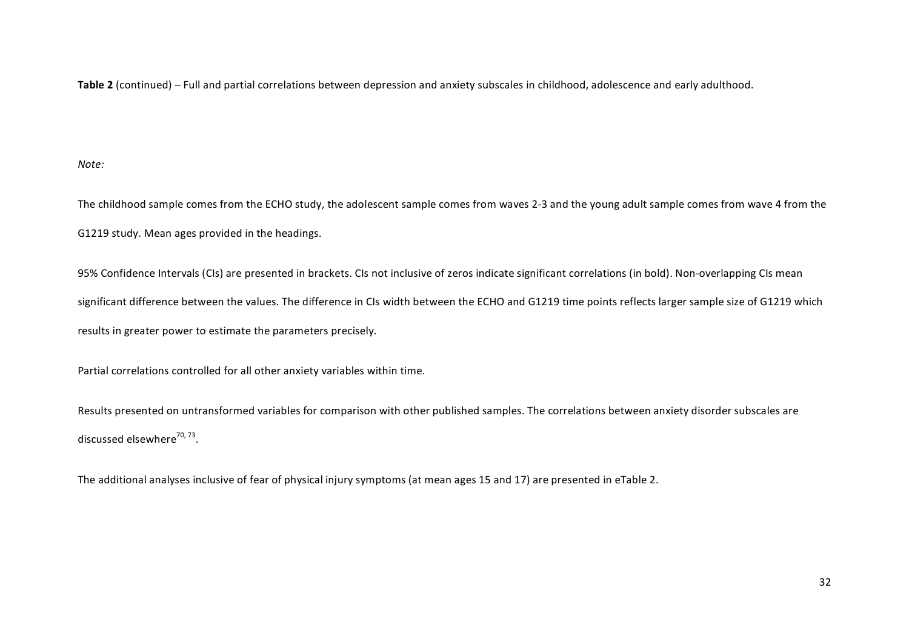Table 2 (continued) – Full and partial correlations between depression and anxiety subscales in childhood, adolescence and early adulthood.

*Note:*

The childhood sample comes from the ECHO study, the adolescent sample comes from waves 2-3 and the young adult sample comes from wave 4 from the G1219 study. Mean ages provided in the headings.

95% Confidence Intervals (CIs) are presented in brackets. CIs not inclusive of zeros indicate significant correlations (in bold). Non-overlapping CIs mean significant difference between the values. The difference in CIs width between the ECHO and G1219 time points reflects larger sample size of G1219 which results in greater power to estimate the parameters precisely.

Partial correlations controlled for all other anxiety variables within time.

Results presented on untransformed variables for comparison with other published samples. The correlations between anxiety disorder subscales are discussed elsewhere $^{70, 73}$ .

The additional analyses inclusive of fear of physical injury symptoms (at mean ages 15 and 17) are presented in eTable 2.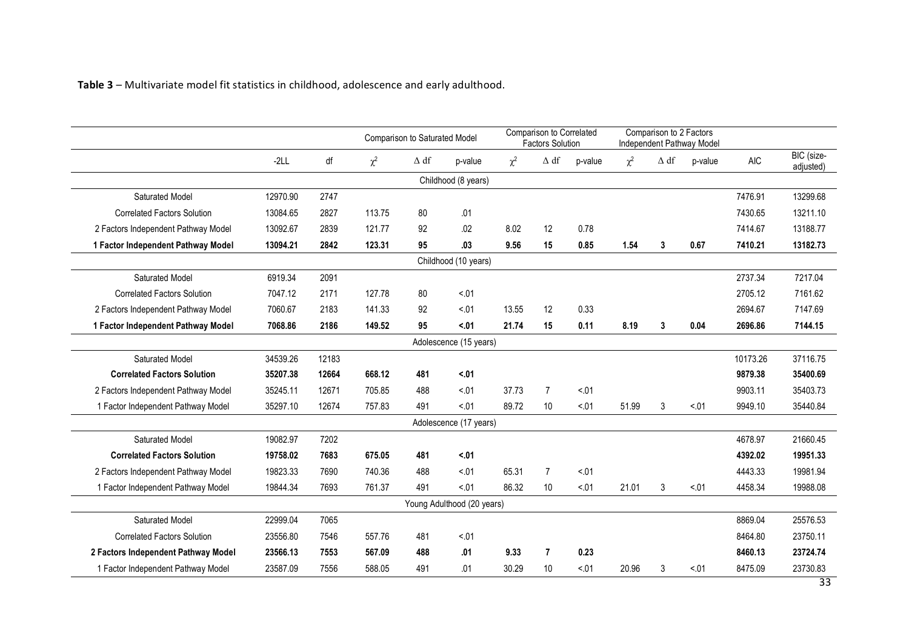Table 3 – Multivariate model fit statistics in childhood, adolescence and early adulthood.

|                                     |          |       | Comparison to Saturated Model |             |                        | Comparison to Correlated<br><b>Factors Solution</b> |                |         | Comparison to 2 Factors<br><b>Independent Pathway Model</b> |             |         |            |                         |
|-------------------------------------|----------|-------|-------------------------------|-------------|------------------------|-----------------------------------------------------|----------------|---------|-------------------------------------------------------------|-------------|---------|------------|-------------------------|
|                                     | $-2LL$   | df    | $\chi^2$                      | $\Delta$ df | p-value                | $\chi^2$                                            | $\Delta$ df    | p-value | $\chi^2$                                                    | $\Delta$ df | p-value | <b>AIC</b> | BIC (size-<br>adjusted) |
|                                     |          |       |                               |             | Childhood (8 years)    |                                                     |                |         |                                                             |             |         |            |                         |
| Saturated Model                     | 12970.90 | 2747  |                               |             |                        |                                                     |                |         |                                                             |             |         | 7476.91    | 13299.68                |
| <b>Correlated Factors Solution</b>  | 13084.65 | 2827  | 113.75                        | 80          | .01                    |                                                     |                |         |                                                             |             |         | 7430.65    | 13211.10                |
| 2 Factors Independent Pathway Model | 13092.67 | 2839  | 121.77                        | 92          | .02                    | 8.02                                                | 12             | 0.78    |                                                             |             |         | 7414.67    | 13188.77                |
| 1 Factor Independent Pathway Model  | 13094.21 | 2842  | 123.31                        | 95          | .03                    | 9.56                                                | 15             | 0.85    | 1.54                                                        | 3           | 0.67    | 7410.21    | 13182.73                |
|                                     |          |       |                               |             | Childhood (10 years)   |                                                     |                |         |                                                             |             |         |            |                         |
| Saturated Model                     | 6919.34  | 2091  |                               |             |                        |                                                     |                |         |                                                             |             |         | 2737.34    | 7217.04                 |
| <b>Correlated Factors Solution</b>  | 7047.12  | 2171  | 127.78                        | 80          | < 01                   |                                                     |                |         |                                                             |             |         | 2705.12    | 7161.62                 |
| 2 Factors Independent Pathway Model | 7060.67  | 2183  | 141.33                        | 92          | 5.01                   | 13.55                                               | 12             | 0.33    |                                                             |             |         | 2694.67    | 7147.69                 |
| 1 Factor Independent Pathway Model  | 7068.86  | 2186  | 149.52                        | 95          | < 01                   | 21.74                                               | 15             | 0.11    | 8.19                                                        | 3           | 0.04    | 2696.86    | 7144.15                 |
|                                     |          |       |                               |             | Adolescence (15 years) |                                                     |                |         |                                                             |             |         |            |                         |
| Saturated Model                     | 34539.26 | 12183 |                               |             |                        |                                                     |                |         |                                                             |             |         | 10173.26   | 37116.75                |
| <b>Correlated Factors Solution</b>  | 35207.38 | 12664 | 668.12                        | 481         | < 01                   |                                                     |                |         |                                                             |             |         | 9879.38    | 35400.69                |
| 2 Factors Independent Pathway Model | 35245.11 | 12671 | 705.85                        | 488         | 5.01                   | 37.73                                               | $\overline{7}$ | < 01    |                                                             |             |         | 9903.11    | 35403.73                |
| 1 Factor Independent Pathway Model  | 35297.10 | 12674 | 757.83                        | 491         | < 01                   | 89.72                                               | 10             | < 01    | 51.99                                                       | 3           | 5.01    | 9949.10    | 35440.84                |
|                                     |          |       |                               |             | Adolescence (17 years) |                                                     |                |         |                                                             |             |         |            |                         |
| Saturated Model                     | 19082.97 | 7202  |                               |             |                        |                                                     |                |         |                                                             |             |         | 4678.97    | 21660.45                |
| <b>Correlated Factors Solution</b>  | 19758.02 | 7683  | 675.05                        | 481         | < 01                   |                                                     |                |         |                                                             |             |         | 4392.02    | 19951.33                |
| 2 Factors Independent Pathway Model | 19823.33 | 7690  | 740.36                        | 488         | < 01                   | 65.31                                               | $\overline{7}$ | < 01    |                                                             |             |         | 4443.33    | 19981.94                |
| 1 Factor Independent Pathway Model  | 19844.34 | 7693  | 761.37                        | 491         | < 01                   | 86.32                                               | 10             | < 01    | 21.01                                                       | 3           | < 01    | 4458.34    | 19988.08                |
| Young Adulthood (20 years)          |          |       |                               |             |                        |                                                     |                |         |                                                             |             |         |            |                         |
| Saturated Model                     | 22999.04 | 7065  |                               |             |                        |                                                     |                |         |                                                             |             |         | 8869.04    | 25576.53                |
| <b>Correlated Factors Solution</b>  | 23556.80 | 7546  | 557.76                        | 481         | 5.01                   |                                                     |                |         |                                                             |             |         | 8464.80    | 23750.11                |
| 2 Factors Independent Pathway Model | 23566.13 | 7553  | 567.09                        | 488         | .01                    | 9.33                                                | $\overline{7}$ | 0.23    |                                                             |             |         | 8460.13    | 23724.74                |
| 1 Factor Independent Pathway Model  | 23587.09 | 7556  | 588.05                        | 491         | .01                    | 30.29                                               | 10             | < 01    | 20.96                                                       | 3           | < 01    | 8475.09    | 23730.83                |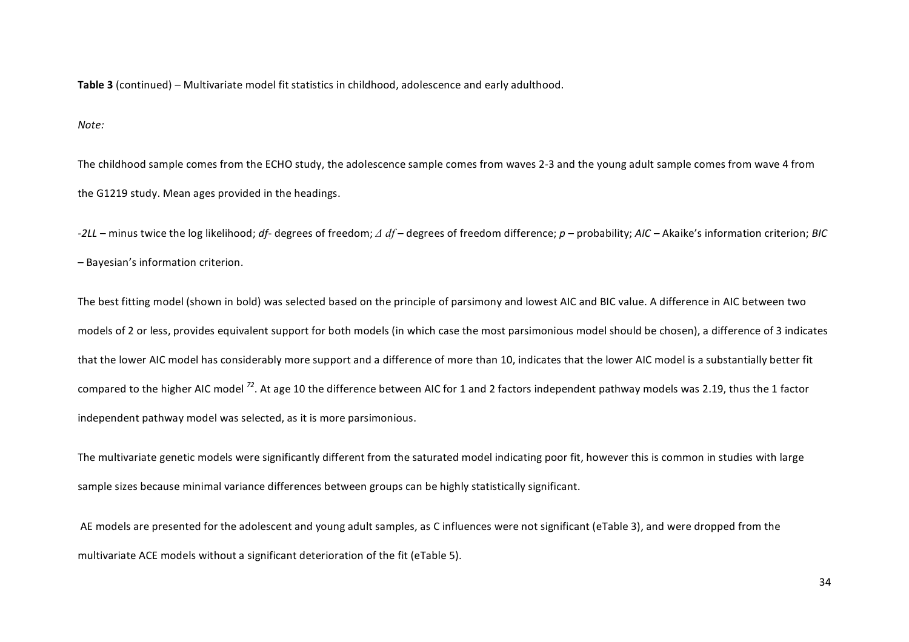**Table 3** (continued) – Multivariate model fit statistics in childhood, adolescence and early adulthood.

*Note:*

The childhood sample comes from the ECHO study, the adolescence sample comes from waves 2-3 and the young adult sample comes from wave 4 from the G1219 study. Mean ages provided in the headings.

+2LL – minus twice the log likelihood; *df*- degrees of freedom; Δ df – degrees of freedom difference; *p* – probability; AIC – Akaike's information criterion; *BIC* – Bayesian's information criterion.

The best fitting model (shown in bold) was selected based on the principle of parsimony and lowest AIC and BIC value. A difference in AIC between two models of 2 or less, provides equivalent support for both models (in which case the most parsimonious model should be chosen), a difference of 3 indicates that the lower AIC model has considerably more support and a difference of more than 10, indicates that the lower AIC model is a substantially better fit compared to the higher AIC model <sup>72</sup>. At age 10 the difference between AIC for 1 and 2 factors independent pathway models was 2.19, thus the 1 factor independent pathway model was selected, as it is more parsimonious.

The multivariate genetic models were significantly different from the saturated model indicating poor fit, however this is common in studies with large sample sizes because minimal variance differences between groups can be highly statistically significant.

AE models are presented for the adolescent and young adult samples, as C influences were not significant (eTable 3), and were dropped from the multivariate ACE models without a significant deterioration of the fit (eTable 5).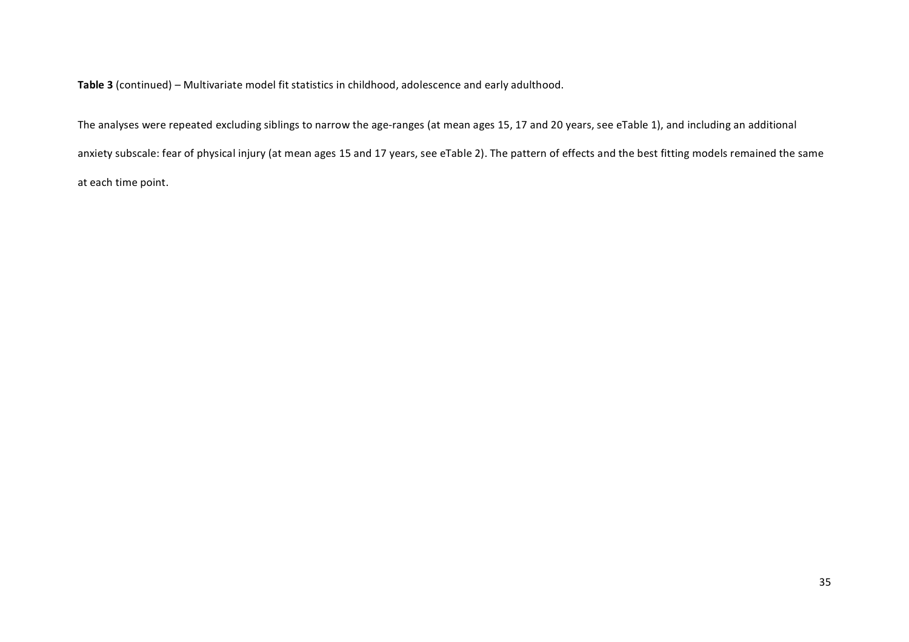Table 3 (continued) – Multivariate model fit statistics in childhood, adolescence and early adulthood.

The analyses were repeated excluding siblings to narrow the age-ranges (at mean ages 15, 17 and 20 years, see eTable 1), and including an additional anxiety subscale: fear of physical injury (at mean ages 15 and 17 years, see eTable 2). The pattern of effects and the best fitting models remained the same at each time point.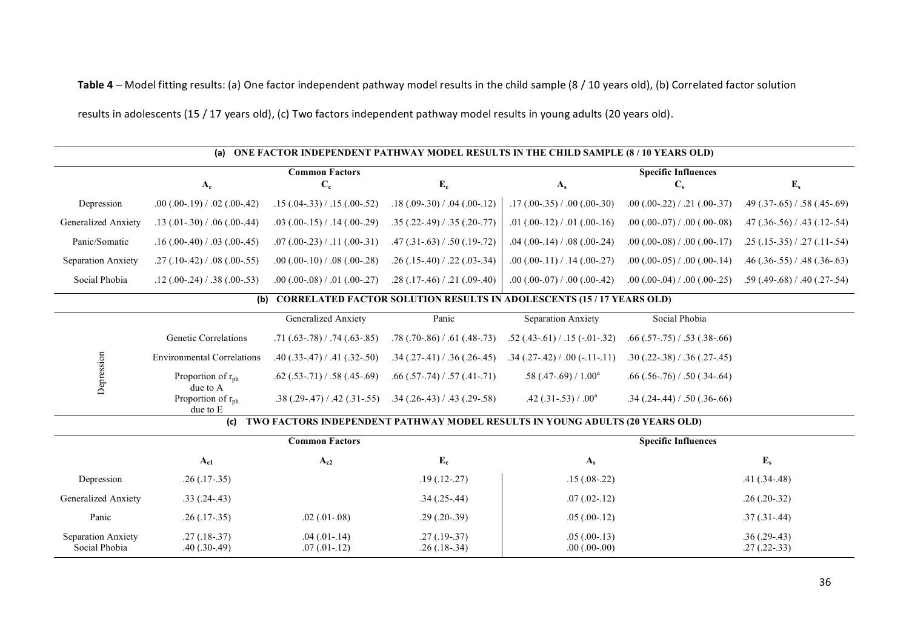Table 4 – Model fitting results: (a) One factor independent pathway model results in the child sample (8 / 10 years old), (b) Correlated factor solution

results in adolescents (15 / 17 years old), (c) Two factors independent pathway model results in young adults (20 years old).

|                                     | (a)                                                   |                                       |                                       | ONE FACTOR INDEPENDENT PATHWAY MODEL RESULTS IN THE CHILD SAMPLE (8/10 YEARS OLD) |                                       |                                       |
|-------------------------------------|-------------------------------------------------------|---------------------------------------|---------------------------------------|-----------------------------------------------------------------------------------|---------------------------------------|---------------------------------------|
|                                     | $A_c$                                                 | <b>Common Factors</b><br>$C_{c}$      | $\mathbf{E}_{\mathbf{c}}$             | $A_{s}$                                                                           | <b>Specific Influences</b><br>$C_{s}$ | $E_{s}$                               |
| Depression                          | $.00(.00-.19) / .02(.00-.42)$                         | $.15(.04-.33) / .15(.00-.52)$         | $.18(.09-.30) / .04(.00-.12)$         | $.17(.00-.35) / .00(.00-.30)$                                                     | $.00(.00-.22) / .21(.00-.37)$         | $.49$ (.37-.65) / .58 (.45-.69)       |
| Generalized Anxiety                 | $.13(.01-.30) / .06(.00-.44)$                         | $.03$ $(.00-.15)$ $/ .14$ $(.00-.29)$ | $.35(.22-.49) / .35(.20-.77)$         | .01 $(.00-.12) / .01 (.00-.16)$                                                   | $.00$ $(.00-07)$ $/ .00$ $(.00-08)$   | $.47$ $(.36-.56)$ $/ .43$ $(.12-.54)$ |
| Panic/Somatic                       | $.16(.00-40) / .03(.00-45)$                           | $.07(.00-.23) / .11(.00-.31)$         | $.47(.31-.63) / .50(.19-.72)$         | $.04$ (.00-.14) / .08 (.00-.24)                                                   | $.00(.00-.08) / .00(.00-.17)$         | $.25(.15-.35) / .27(.11-.54)$         |
| Separation Anxiety                  | $.27(.10-.42) / .08(.00-.55)$                         | $.00(.00-.10) / .08(.00-.28)$         | $.26(.15-.40) / .22(.03-.34)$         | $.00(.00-11) / .14(.00-27)$                                                       | $.00(.00-05) / .00(.00-14)$           | $.46(.36-.55) / .48(.36-.63)$         |
| Social Phobia                       | $.12(.00-.24) / .38(.00-.53)$                         | $.00(.00-.08) / .01(.00-.27)$         | $.28(.17-.46) / .21(.09-.40)$         | $.00$ (.00-.07) / .00 (.00-.42)                                                   | $.00$ $(.00-04)$ $/ .00$ $(.00-25)$   | $.59$ (.49-.68) / .40 (.27-.54)       |
|                                     | (b)                                                   |                                       |                                       | <b>CORRELATED FACTOR SOLUTION RESULTS IN ADOLESCENTS (15 / 17 YEARS OLD)</b>      |                                       |                                       |
|                                     |                                                       | Generalized Anxiety                   | Panic                                 | Separation Anxiety                                                                | Social Phobia                         |                                       |
|                                     | <b>Genetic Correlations</b>                           | $.71(.63-.78) / .74(.63-.85)$         | $.78(.70-.86) / .61(.48-.73)$         | $.52$ (.43-.61) / .15 (-.01-.32)                                                  | $.66$ $(.57-.75)$ $/ .53$ $(.38-.66)$ |                                       |
|                                     | <b>Environmental Correlations</b>                     | $.40(.33-.47) / .41(.32-.50)$         | $.34$ $(.27-.41)$ $/ .36$ $(.26-.45)$ | $.34(.27-.42) / .00(-.11-.11)$                                                    | $.30(.22-.38) / .36(.27-.45)$         |                                       |
| Depression                          | Proportion of $r_{\rm ph}$                            | $.62$ (.53-.71) / .58 (.45-.69)       | $.66$ (.57-.74) / .57 (.41-.71)       | .58 $(.47-.69) / 1.00a$                                                           | $.66(.56-.76) / .50(.34-.64)$         |                                       |
|                                     | due to A<br>Proportion of r <sub>ph</sub><br>due to E | $.38(.29-.47) / .42(.31-.55)$         | $.34(.26-.43) / .43(.29-.58)$         | .42 $(.31-.53) / .00^a$                                                           | $.34$ (.24-.44) / .50 (.36-.66)       |                                       |
|                                     | (c)                                                   |                                       |                                       | TWO FACTORS INDEPENDENT PATHWAY MODEL RESULTS IN YOUNG ADULTS (20 YEARS OLD)      |                                       |                                       |
|                                     |                                                       | <b>Common Factors</b>                 |                                       |                                                                                   | <b>Specific Influences</b>            |                                       |
|                                     | $A_{c1}$                                              | $A_{c2}$                              | $\mathbf{E}_{\mathbf{c}}$             | $A_{s}$                                                                           |                                       | $E_s$                                 |
| Depression                          | $.26(.17-.35)$                                        |                                       | $.19(.12-.27)$                        | $.15(.08-.22)$                                                                    |                                       | $.41(.34-.48)$                        |
| Generalized Anxiety                 | $.33(.24-.43)$                                        |                                       | $.34(.25-.44)$                        | $.07(.02-.12)$                                                                    |                                       | $.26(.20-.32)$                        |
| Panic                               | $.26(.17-.35)$                                        | $.02$ $(.01-.08)$                     | $.29(.20-.39)$                        | $.05(.00-.12)$                                                                    |                                       | $.37(.31-.44)$                        |
| Separation Anxiety<br>Social Phobia | $.27(.18-.37)$<br>$.40(.30-.49)$                      | $.04$ $(.01-.14)$<br>$.07(.01-.12)$   | $.27(.19-.37)$<br>$.26(.18-.34)$      | $.05(.00-13)$<br>$.00(.00-00)$                                                    |                                       | $.36(.29-.43)$<br>$.27(.22-.33)$      |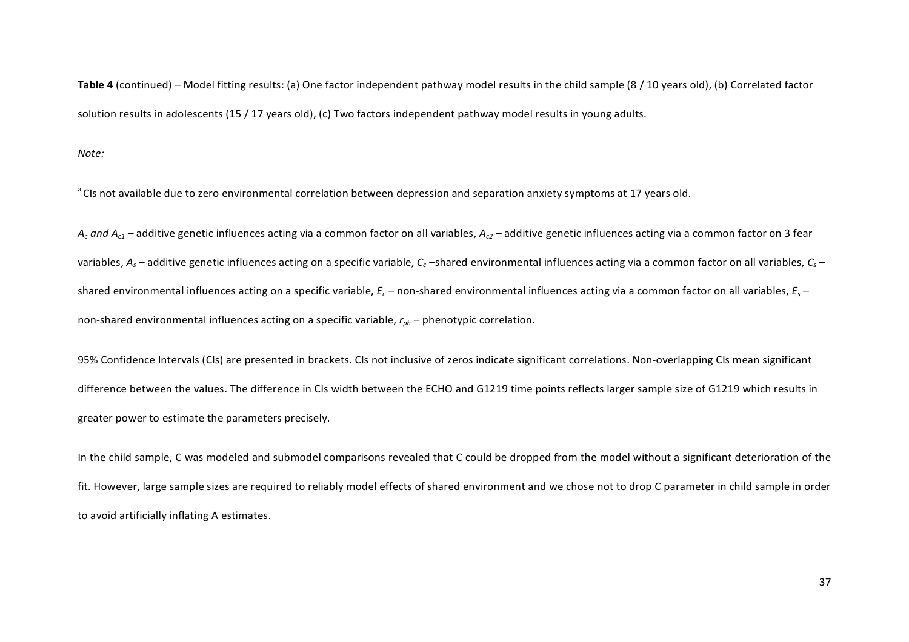Table 4 (continued) – Model fitting results: (a) One factor independent pathway model results in the child sample (8 / 10 years old), (b) Correlated factor solution results in adolescents (15 / 17 years old), (c) Two factors independent pathway model results in young adults.

*Note:*

<sup>a</sup> CIs not available due to zero environmental correlation between depression and separation anxiety symptoms at 17 years old.

 $A_c$  and  $A_{c1}$  – additive genetic influences acting via a common factor on all variables,  $A_{c2}$  – additive genetic influences acting via a common factor on 3 fear variables,  $A_s$  – additive genetic influences acting on a specific variable,  $C_c$  –shared environmental influences acting via a common factor on all variables,  $C_s$  – shared environmental influences acting on a specific variable,  $E_c$  – non-shared environmental influences acting via a common factor on all variables,  $E_s$  – non-shared environmental influences acting on a specific variable,  $r_{ph}$  – phenotypic correlation.

95% Confidence Intervals (CIs) are presented in brackets. CIs not inclusive of zeros indicate significant correlations. Non-overlapping CIs mean significant difference between the values. The difference in CIs width between the ECHO and G1219 time points reflects larger sample size of G1219 which results in greater power to estimate the parameters precisely.

In the child sample, C was modeled and submodel comparisons revealed that C could be dropped from the model without a significant deterioration of the fit. However, large sample sizes are required to reliably model effects of shared environment and we chose not to drop C parameter in child sample in order to avoid artificially inflating A estimates.